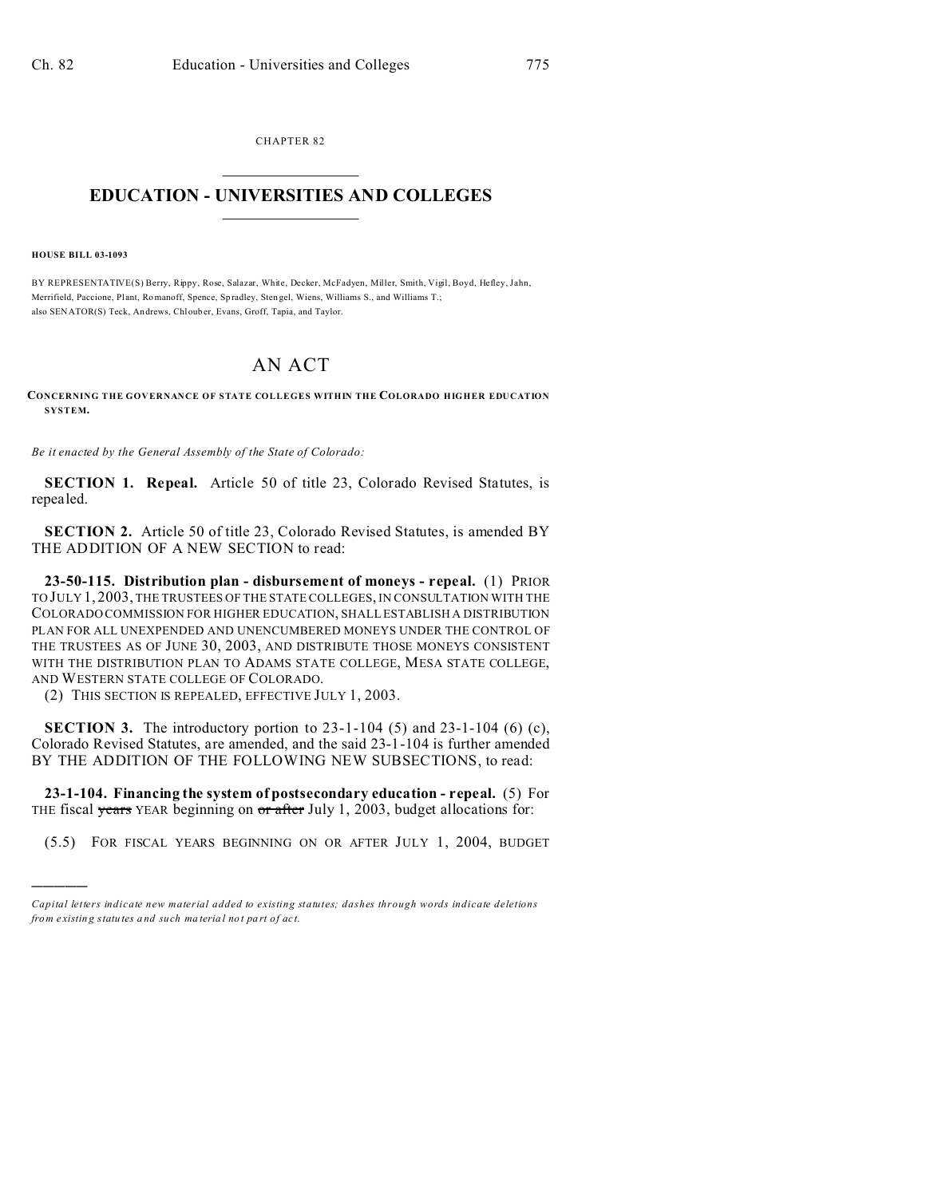CHAPTER 82  $\overline{\phantom{a}}$  , where  $\overline{\phantom{a}}$ 

# **EDUCATION - UNIVERSITIES AND COLLEGES**  $\frac{1}{2}$  ,  $\frac{1}{2}$  ,  $\frac{1}{2}$  ,  $\frac{1}{2}$  ,  $\frac{1}{2}$  ,  $\frac{1}{2}$  ,  $\frac{1}{2}$

**HOUSE BILL 03-1093**

)))))

BY REPRESENTATIVE(S) Berry, Rippy, Rose, Salazar, White, Decker, McFadyen, Miller, Smith, Vigil, Boyd, Hefley, Jahn, Merrifield, Paccione, Plant, Romanoff, Spence, Spradley, Stengel, Wiens, Williams S., and Williams T.; also SENATOR(S) Teck, Andrews, Chlouber, Evans, Groff, Tapia, and Taylor.

# AN ACT

**CONCERNING THE GOVERNANCE OF STATE COLLEGES WITHIN THE COLORADO HIGHER EDUCATION SYSTEM.**

*Be it enacted by the General Assembly of the State of Colorado:*

**SECTION 1. Repeal.** Article 50 of title 23, Colorado Revised Statutes, is repealed.

**SECTION 2.** Article 50 of title 23, Colorado Revised Statutes, is amended BY THE ADDITION OF A NEW SECTION to read:

**23-50-115. Distribution plan - disbursement of moneys - repeal.** (1) PRIOR TO JULY 1, 2003, THE TRUSTEES OF THE STATE COLLEGES, IN CONSULTATION WITH THE COLORADO COMMISSION FOR HIGHER EDUCATION, SHALL ESTABLISH A DISTRIBUTION PLAN FOR ALL UNEXPENDED AND UNENCUMBERED MONEYS UNDER THE CONTROL OF THE TRUSTEES AS OF JUNE 30, 2003, AND DISTRIBUTE THOSE MONEYS CONSISTENT WITH THE DISTRIBUTION PLAN TO ADAMS STATE COLLEGE, MESA STATE COLLEGE, AND WESTERN STATE COLLEGE OF COLORADO.

(2) THIS SECTION IS REPEALED, EFFECTIVE JULY 1, 2003.

**SECTION 3.** The introductory portion to 23-1-104 (5) and 23-1-104 (6) (c), Colorado Revised Statutes, are amended, and the said 23-1-104 is further amended BY THE ADDITION OF THE FOLLOWING NEW SUBSECTIONS, to read:

**23-1-104. Financing the system of postsecondary education - repeal.** (5) For THE fiscal years YEAR beginning on  $\sigma r$  after July 1, 2003, budget allocations for:

(5.5) FOR FISCAL YEARS BEGINNING ON OR AFTER JULY 1, 2004, BUDGET

*Capital letters indicate new material added to existing statutes; dashes through words indicate deletions from e xistin g statu tes a nd such ma teria l no t pa rt of ac t.*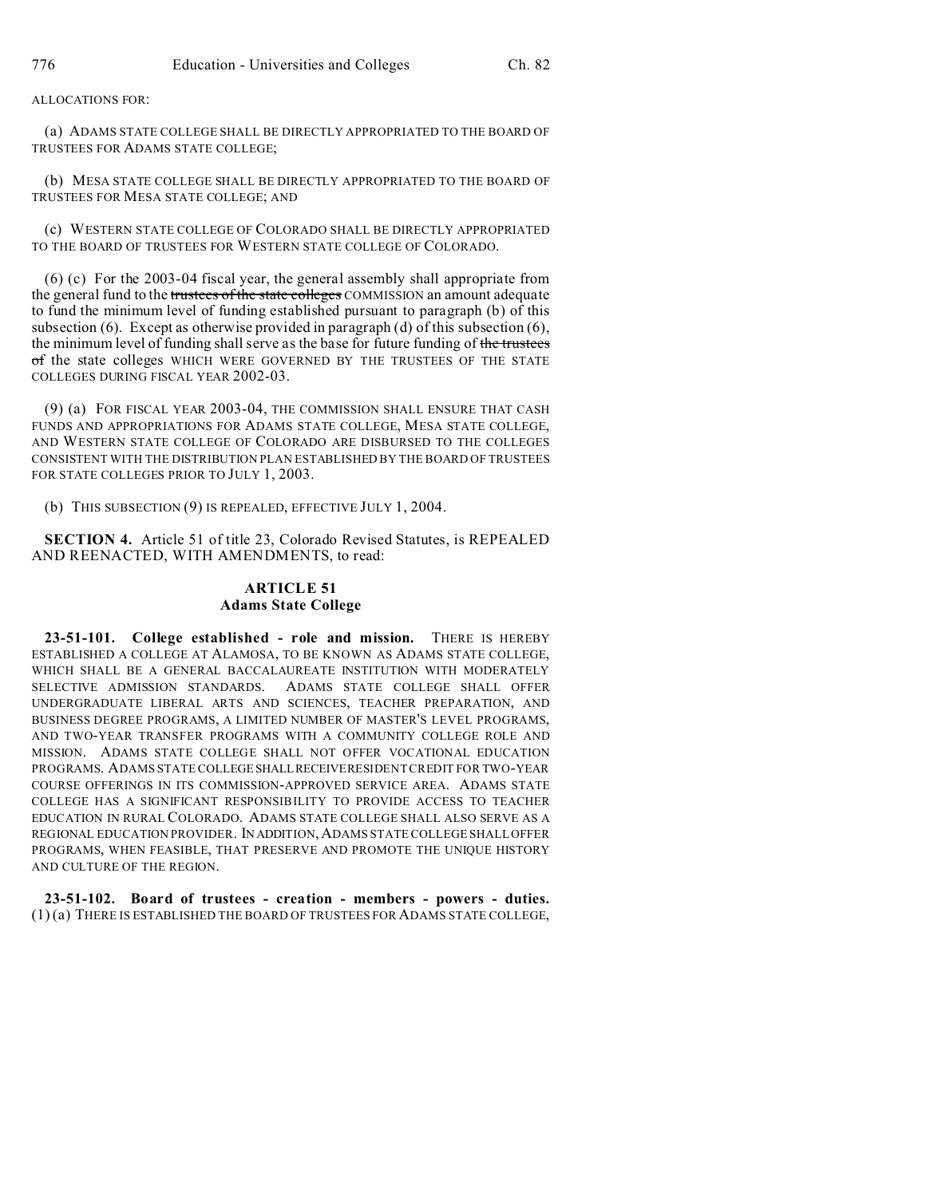## ALLOCATIONS FOR:

(a) ADAMS STATE COLLEGE SHALL BE DIRECTLY APPROPRIATED TO THE BOARD OF TRUSTEES FOR ADAMS STATE COLLEGE;

(b) MESA STATE COLLEGE SHALL BE DIRECTLY APPROPRIATED TO THE BOARD OF TRUSTEES FOR MESA STATE COLLEGE; AND

(c) WESTERN STATE COLLEGE OF COLORADO SHALL BE DIRECTLY APPROPRIATED TO THE BOARD OF TRUSTEES FOR WESTERN STATE COLLEGE OF COLORADO.

(6) (c) For the 2003-04 fiscal year, the general assembly shall appropriate from the general fund to the trustees of the state colleges COMMISSION an amount adequate to fund the minimum level of funding established pursuant to paragraph (b) of this subsection (6). Except as otherwise provided in paragraph (d) of this subsection  $(6)$ , the minimum level of funding shall serve as the base for future funding of the trustees of the state colleges WHICH WERE GOVERNED BY THE TRUSTEES OF THE STATE COLLEGES DURING FISCAL YEAR 2002-03.

(9) (a) FOR FISCAL YEAR 2003-04, THE COMMISSION SHALL ENSURE THAT CASH FUNDS AND APPROPRIATIONS FOR ADAMS STATE COLLEGE, MESA STATE COLLEGE, AND WESTERN STATE COLLEGE OF COLORADO ARE DISBURSED TO THE COLLEGES CONSISTENT WITH THE DISTRIBUTION PLAN ESTABLISHED BY THE BOARD OF TRUSTEES FOR STATE COLLEGES PRIOR TO JULY 1, 2003.

(b) THIS SUBSECTION (9) IS REPEALED, EFFECTIVE JULY 1, 2004.

**SECTION 4.** Article 51 of title 23, Colorado Revised Statutes, is REPEALED AND REENACTED, WITH AMENDMENTS, to read:

## **ARTICLE 51 Adams State College**

**23-51-101. College established - role and mission.** THERE IS HEREBY ESTABLISHED A COLLEGE AT ALAMOSA, TO BE KNOWN AS ADAMS STATE COLLEGE, WHICH SHALL BE A GENERAL BACCALAUREATE INSTITUTION WITH MODERATELY SELECTIVE ADMISSION STANDARDS. ADAMS STATE COLLEGE SHALL OFFER UNDERGRADUATE LIBERAL ARTS AND SCIENCES, TEACHER PREPARATION, AND BUSINESS DEGREE PROGRAMS, A LIMITED NUMBER OF MASTER'S LEVEL PROGRAMS, AND TWO-YEAR TRANSFER PROGRAMS WITH A COMMUNITY COLLEGE ROLE AND MISSION. ADAMS STATE COLLEGE SHALL NOT OFFER VOCATIONAL EDUCATION PROGRAMS. ADAMS STATE COLLEGESHALLRECEIVERESIDENT CREDIT FOR TWO-YEAR COURSE OFFERINGS IN ITS COMMISSION-APPROVED SERVICE AREA. ADAMS STATE COLLEGE HAS A SIGNIFICANT RESPONSIBILITY TO PROVIDE ACCESS TO TEACHER EDUCATION IN RURAL COLORADO. ADAMS STATE COLLEGE SHALL ALSO SERVE AS A REGIONAL EDUCATION PROVIDER. IN ADDITION,ADAMS STATE COLLEGE SHALL OFFER PROGRAMS, WHEN FEASIBLE, THAT PRESERVE AND PROMOTE THE UNIQUE HISTORY AND CULTURE OF THE REGION.

**23-51-102. Board of trustees - creation - members - powers - duties.** (1) (a) THERE IS ESTABLISHED THE BOARD OF TRUSTEES FOR ADAMS STATE COLLEGE,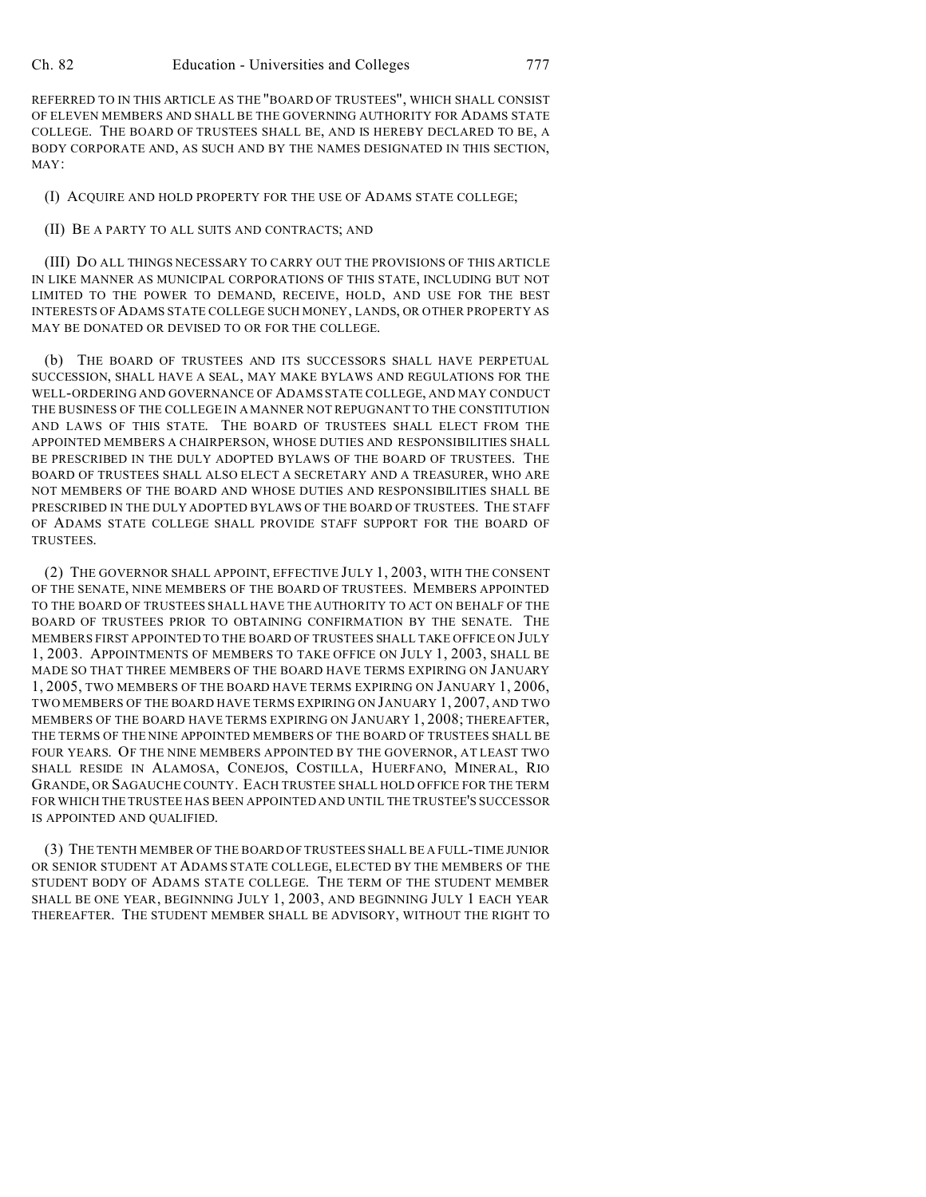REFERRED TO IN THIS ARTICLE AS THE "BOARD OF TRUSTEES", WHICH SHALL CONSIST OF ELEVEN MEMBERS AND SHALL BE THE GOVERNING AUTHORITY FOR ADAMS STATE COLLEGE. THE BOARD OF TRUSTEES SHALL BE, AND IS HEREBY DECLARED TO BE, A BODY CORPORATE AND, AS SUCH AND BY THE NAMES DESIGNATED IN THIS SECTION, MAY:

(I) ACQUIRE AND HOLD PROPERTY FOR THE USE OF ADAMS STATE COLLEGE;

## (II) BE A PARTY TO ALL SUITS AND CONTRACTS; AND

(III) DO ALL THINGS NECESSARY TO CARRY OUT THE PROVISIONS OF THIS ARTICLE IN LIKE MANNER AS MUNICIPAL CORPORATIONS OF THIS STATE, INCLUDING BUT NOT LIMITED TO THE POWER TO DEMAND, RECEIVE, HOLD, AND USE FOR THE BEST INTERESTS OF ADAMS STATE COLLEGE SUCH MONEY, LANDS, OR OTHER PROPERTY AS MAY BE DONATED OR DEVISED TO OR FOR THE COLLEGE.

(b) THE BOARD OF TRUSTEES AND ITS SUCCESSORS SHALL HAVE PERPETUAL SUCCESSION, SHALL HAVE A SEAL, MAY MAKE BYLAWS AND REGULATIONS FOR THE WELL-ORDERING AND GOVERNANCE OF ADAMS STATE COLLEGE, AND MAY CONDUCT THE BUSINESS OF THE COLLEGE IN A MANNER NOT REPUGNANT TO THE CONSTITUTION AND LAWS OF THIS STATE. THE BOARD OF TRUSTEES SHALL ELECT FROM THE APPOINTED MEMBERS A CHAIRPERSON, WHOSE DUTIES AND RESPONSIBILITIES SHALL BE PRESCRIBED IN THE DULY ADOPTED BYLAWS OF THE BOARD OF TRUSTEES. THE BOARD OF TRUSTEES SHALL ALSO ELECT A SECRETARY AND A TREASURER, WHO ARE NOT MEMBERS OF THE BOARD AND WHOSE DUTIES AND RESPONSIBILITIES SHALL BE PRESCRIBED IN THE DULY ADOPTED BYLAWS OF THE BOARD OF TRUSTEES. THE STAFF OF ADAMS STATE COLLEGE SHALL PROVIDE STAFF SUPPORT FOR THE BOARD OF TRUSTEES.

(2) THE GOVERNOR SHALL APPOINT, EFFECTIVE JULY 1, 2003, WITH THE CONSENT OF THE SENATE, NINE MEMBERS OF THE BOARD OF TRUSTEES. MEMBERS APPOINTED TO THE BOARD OF TRUSTEES SHALL HAVE THE AUTHORITY TO ACT ON BEHALF OF THE BOARD OF TRUSTEES PRIOR TO OBTAINING CONFIRMATION BY THE SENATE. THE MEMBERS FIRST APPOINTED TO THE BOARD OF TRUSTEES SHALL TAKE OFFICE ON JULY 1, 2003. APPOINTMENTS OF MEMBERS TO TAKE OFFICE ON JULY 1, 2003, SHALL BE MADE SO THAT THREE MEMBERS OF THE BOARD HAVE TERMS EXPIRING ON JANUARY 1, 2005, TWO MEMBERS OF THE BOARD HAVE TERMS EXPIRING ON JANUARY 1, 2006, TWO MEMBERS OF THE BOARD HAVE TERMS EXPIRING ON JANUARY 1, 2007, AND TWO MEMBERS OF THE BOARD HAVE TERMS EXPIRING ON JANUARY 1, 2008; THEREAFTER, THE TERMS OF THE NINE APPOINTED MEMBERS OF THE BOARD OF TRUSTEES SHALL BE FOUR YEARS. OF THE NINE MEMBERS APPOINTED BY THE GOVERNOR, AT LEAST TWO SHALL RESIDE IN ALAMOSA, CONEJOS, COSTILLA, HUERFANO, MINERAL, RIO GRANDE, OR SAGAUCHE COUNTY. EACH TRUSTEE SHALL HOLD OFFICE FOR THE TERM FOR WHICH THE TRUSTEE HAS BEEN APPOINTED AND UNTIL THE TRUSTEE'S SUCCESSOR IS APPOINTED AND QUALIFIED.

(3) THE TENTH MEMBER OF THE BOARD OF TRUSTEES SHALL BE A FULL-TIME JUNIOR OR SENIOR STUDENT AT ADAMS STATE COLLEGE, ELECTED BY THE MEMBERS OF THE STUDENT BODY OF ADAMS STATE COLLEGE. THE TERM OF THE STUDENT MEMBER SHALL BE ONE YEAR, BEGINNING JULY 1, 2003, AND BEGINNING JULY 1 EACH YEAR THEREAFTER. THE STUDENT MEMBER SHALL BE ADVISORY, WITHOUT THE RIGHT TO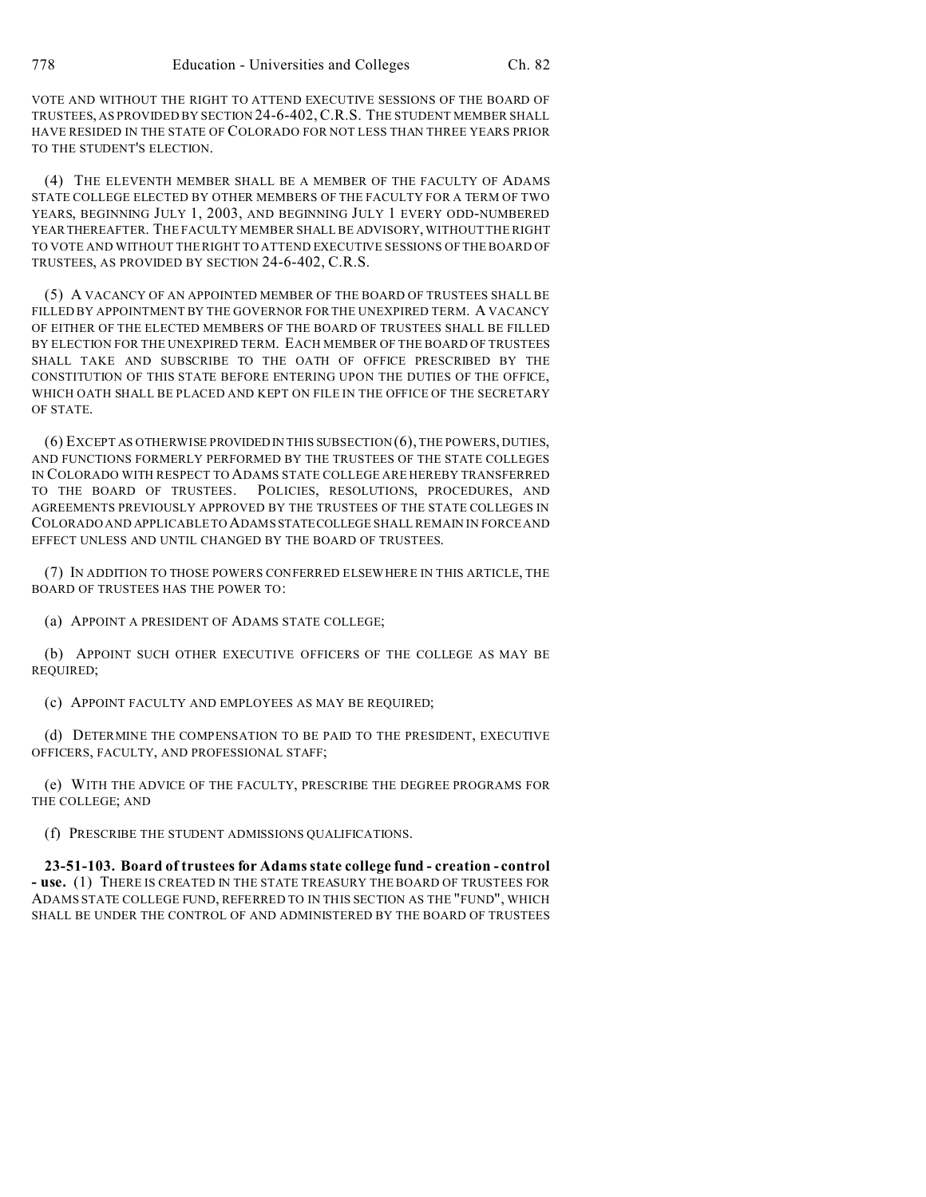VOTE AND WITHOUT THE RIGHT TO ATTEND EXECUTIVE SESSIONS OF THE BOARD OF TRUSTEES, AS PROVIDED BY SECTION 24-6-402,C.R.S. THE STUDENT MEMBER SHALL HAVE RESIDED IN THE STATE OF COLORADO FOR NOT LESS THAN THREE YEARS PRIOR TO THE STUDENT'S ELECTION.

(4) THE ELEVENTH MEMBER SHALL BE A MEMBER OF THE FACULTY OF ADAMS STATE COLLEGE ELECTED BY OTHER MEMBERS OF THE FACULTY FOR A TERM OF TWO YEARS, BEGINNING JULY 1, 2003, AND BEGINNING JULY 1 EVERY ODD-NUMBERED YEARTHEREAFTER. THE FACULTY MEMBER SHALL BE ADVISORY, WITHOUT THE RIGHT TO VOTE AND WITHOUT THE RIGHT TO ATTEND EXECUTIVE SESSIONS OF THE BOARD OF TRUSTEES, AS PROVIDED BY SECTION 24-6-402, C.R.S.

(5) A VACANCY OF AN APPOINTED MEMBER OF THE BOARD OF TRUSTEES SHALL BE FILLED BY APPOINTMENT BY THE GOVERNOR FOR THE UNEXPIRED TERM. A VACANCY OF EITHER OF THE ELECTED MEMBERS OF THE BOARD OF TRUSTEES SHALL BE FILLED BY ELECTION FOR THE UNEXPIRED TERM. EACH MEMBER OF THE BOARD OF TRUSTEES SHALL TAKE AND SUBSCRIBE TO THE OATH OF OFFICE PRESCRIBED BY THE CONSTITUTION OF THIS STATE BEFORE ENTERING UPON THE DUTIES OF THE OFFICE, WHICH OATH SHALL BE PLACED AND KEPT ON FILE IN THE OFFICE OF THE SECRETARY OF STATE.

(6) EXCEPT AS OTHERWISE PROVIDED IN THIS SUBSECTION (6), THE POWERS, DUTIES, AND FUNCTIONS FORMERLY PERFORMED BY THE TRUSTEES OF THE STATE COLLEGES IN COLORADO WITH RESPECT TO ADAMS STATE COLLEGE ARE HEREBY TRANSFERRED TO THE BOARD OF TRUSTEES. POLICIES, RESOLUTIONS, PROCEDURES, AND AGREEMENTS PREVIOUSLY APPROVED BY THE TRUSTEES OF THE STATE COLLEGES IN COLORADO AND APPLICABLE TO ADAMSSTATECOLLEGE SHALL REMAIN IN FORCE AND EFFECT UNLESS AND UNTIL CHANGED BY THE BOARD OF TRUSTEES.

(7) IN ADDITION TO THOSE POWERS CONFERRED ELSEWHERE IN THIS ARTICLE, THE BOARD OF TRUSTEES HAS THE POWER TO:

(a) APPOINT A PRESIDENT OF ADAMS STATE COLLEGE;

(b) APPOINT SUCH OTHER EXECUTIVE OFFICERS OF THE COLLEGE AS MAY BE REQUIRED;

(c) APPOINT FACULTY AND EMPLOYEES AS MAY BE REQUIRED;

(d) DETERMINE THE COMPENSATION TO BE PAID TO THE PRESIDENT, EXECUTIVE OFFICERS, FACULTY, AND PROFESSIONAL STAFF;

(e) WITH THE ADVICE OF THE FACULTY, PRESCRIBE THE DEGREE PROGRAMS FOR THE COLLEGE; AND

(f) PRESCRIBE THE STUDENT ADMISSIONS QUALIFICATIONS.

**23-51-103. Board of trustees for Adams state college fund - creation - control - use.** (1) THERE IS CREATED IN THE STATE TREASURY THE BOARD OF TRUSTEES FOR ADAMS STATE COLLEGE FUND, REFERRED TO IN THIS SECTION AS THE "FUND", WHICH SHALL BE UNDER THE CONTROL OF AND ADMINISTERED BY THE BOARD OF TRUSTEES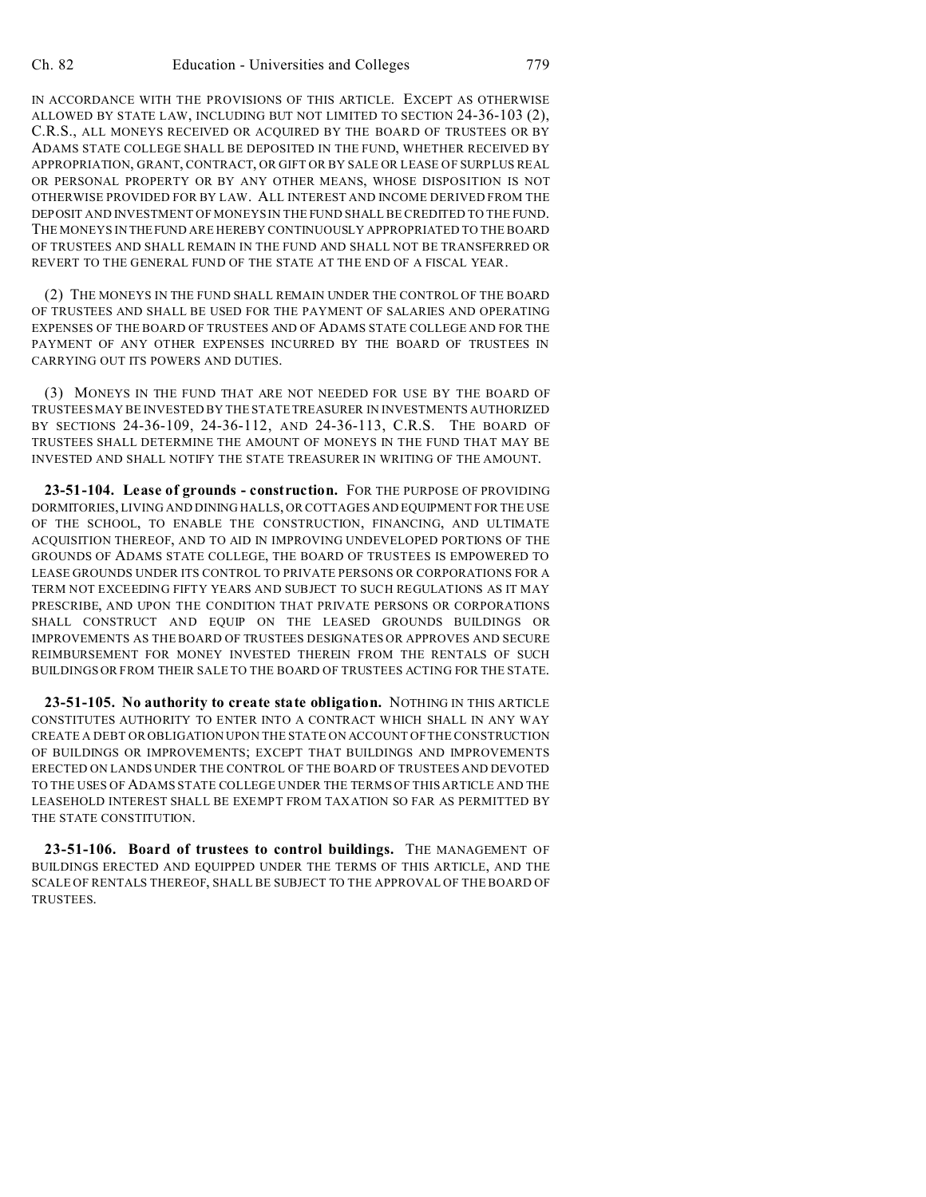IN ACCORDANCE WITH THE PROVISIONS OF THIS ARTICLE. EXCEPT AS OTHERWISE ALLOWED BY STATE LAW, INCLUDING BUT NOT LIMITED TO SECTION 24-36-103 (2), C.R.S., ALL MONEYS RECEIVED OR ACQUIRED BY THE BOARD OF TRUSTEES OR BY ADAMS STATE COLLEGE SHALL BE DEPOSITED IN THE FUND, WHETHER RECEIVED BY APPROPRIATION, GRANT, CONTRACT, OR GIFT OR BY SALE OR LEASE OF SURPLUS REAL OR PERSONAL PROPERTY OR BY ANY OTHER MEANS, WHOSE DISPOSITION IS NOT OTHERWISE PROVIDED FOR BY LAW. ALL INTEREST AND INCOME DERIVED FROM THE DEPOSIT AND INVESTMENT OF MONEYS IN THE FUND SHALL BE CREDITED TO THE FUND. THE MONEYS IN THEFUND ARE HEREBY CONTINUOUSLY APPROPRIATED TO THE BOARD OF TRUSTEES AND SHALL REMAIN IN THE FUND AND SHALL NOT BE TRANSFERRED OR REVERT TO THE GENERAL FUND OF THE STATE AT THE END OF A FISCAL YEAR.

(2) THE MONEYS IN THE FUND SHALL REMAIN UNDER THE CONTROL OF THE BOARD OF TRUSTEES AND SHALL BE USED FOR THE PAYMENT OF SALARIES AND OPERATING EXPENSES OF THE BOARD OF TRUSTEES AND OF ADAMS STATE COLLEGE AND FOR THE PAYMENT OF ANY OTHER EXPENSES INCURRED BY THE BOARD OF TRUSTEES IN CARRYING OUT ITS POWERS AND DUTIES.

(3) MONEYS IN THE FUND THAT ARE NOT NEEDED FOR USE BY THE BOARD OF TRUSTEES MAY BE INVESTED BY THE STATE TREASURER IN INVESTMENTS AUTHORIZED BY SECTIONS 24-36-109, 24-36-112, AND 24-36-113, C.R.S. THE BOARD OF TRUSTEES SHALL DETERMINE THE AMOUNT OF MONEYS IN THE FUND THAT MAY BE INVESTED AND SHALL NOTIFY THE STATE TREASURER IN WRITING OF THE AMOUNT.

**23-51-104. Lease of grounds - construction.** FOR THE PURPOSE OF PROVIDING DORMITORIES, LIVING AND DINING HALLS, OR COTTAGES AND EQUIPMENT FOR THE USE OF THE SCHOOL, TO ENABLE THE CONSTRUCTION, FINANCING, AND ULTIMATE ACQUISITION THEREOF, AND TO AID IN IMPROVING UNDEVELOPED PORTIONS OF THE GROUNDS OF ADAMS STATE COLLEGE, THE BOARD OF TRUSTEES IS EMPOWERED TO LEASE GROUNDS UNDER ITS CONTROL TO PRIVATE PERSONS OR CORPORATIONS FOR A TERM NOT EXCEEDING FIFTY YEARS AND SUBJECT TO SUCH REGULATIONS AS IT MAY PRESCRIBE, AND UPON THE CONDITION THAT PRIVATE PERSONS OR CORPORATIONS SHALL CONSTRUCT AND EQUIP ON THE LEASED GROUNDS BUILDINGS OR IMPROVEMENTS AS THE BOARD OF TRUSTEES DESIGNATES OR APPROVES AND SECURE REIMBURSEMENT FOR MONEY INVESTED THEREIN FROM THE RENTALS OF SUCH BUILDINGS OR FROM THEIR SALE TO THE BOARD OF TRUSTEES ACTING FOR THE STATE.

**23-51-105. No authority to create state obligation.** NOTHING IN THIS ARTICLE CONSTITUTES AUTHORITY TO ENTER INTO A CONTRACT WHICH SHALL IN ANY WAY CREATE A DEBT OR OBLIGATION UPON THE STATE ON ACCOUNT OF THE CONSTRUCTION OF BUILDINGS OR IMPROVEMENTS; EXCEPT THAT BUILDINGS AND IMPROVEMENTS ERECTED ON LANDS UNDER THE CONTROL OF THE BOARD OF TRUSTEES AND DEVOTED TO THE USES OF ADAMS STATE COLLEGE UNDER THE TERMS OF THIS ARTICLE AND THE LEASEHOLD INTEREST SHALL BE EXEMPT FROM TAXATION SO FAR AS PERMITTED BY THE STATE CONSTITUTION.

**23-51-106. Board of trustees to control buildings.** THE MANAGEMENT OF BUILDINGS ERECTED AND EQUIPPED UNDER THE TERMS OF THIS ARTICLE, AND THE SCALE OF RENTALS THEREOF, SHALL BE SUBJECT TO THE APPROVAL OF THE BOARD OF TRUSTEES.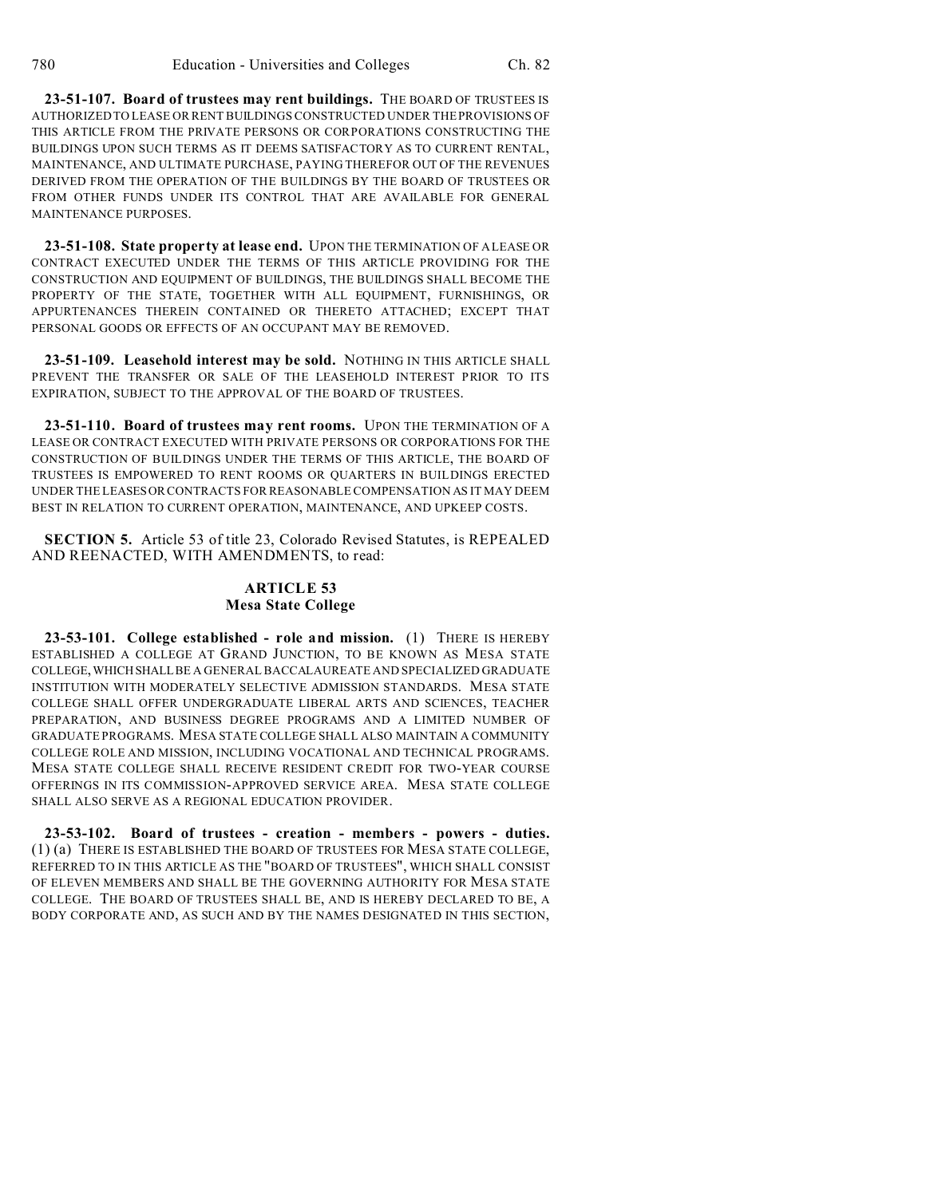**23-51-107. Board of trustees may rent buildings.** THE BOARD OF TRUSTEES IS AUTHORIZED TO LEASE OR RENT BUILDINGS CONSTRUCTED UNDER THE PROVISIONS OF THIS ARTICLE FROM THE PRIVATE PERSONS OR CORPORATIONS CONSTRUCTING THE BUILDINGS UPON SUCH TERMS AS IT DEEMS SATISFACTORY AS TO CURRENT RENTAL, MAINTENANCE, AND ULTIMATE PURCHASE, PAYING THEREFOR OUT OF THE REVENUES DERIVED FROM THE OPERATION OF THE BUILDINGS BY THE BOARD OF TRUSTEES OR FROM OTHER FUNDS UNDER ITS CONTROL THAT ARE AVAILABLE FOR GENERAL MAINTENANCE PURPOSES.

**23-51-108. State property at lease end.** UPON THE TERMINATION OF A LEASE OR CONTRACT EXECUTED UNDER THE TERMS OF THIS ARTICLE PROVIDING FOR THE CONSTRUCTION AND EQUIPMENT OF BUILDINGS, THE BUILDINGS SHALL BECOME THE PROPERTY OF THE STATE, TOGETHER WITH ALL EQUIPMENT, FURNISHINGS, OR APPURTENANCES THEREIN CONTAINED OR THERETO ATTACHED; EXCEPT THAT PERSONAL GOODS OR EFFECTS OF AN OCCUPANT MAY BE REMOVED.

**23-51-109. Leasehold interest may be sold.** NOTHING IN THIS ARTICLE SHALL PREVENT THE TRANSFER OR SALE OF THE LEASEHOLD INTEREST PRIOR TO ITS EXPIRATION, SUBJECT TO THE APPROVAL OF THE BOARD OF TRUSTEES.

**23-51-110. Board of trustees may rent rooms.** UPON THE TERMINATION OF A LEASE OR CONTRACT EXECUTED WITH PRIVATE PERSONS OR CORPORATIONS FOR THE CONSTRUCTION OF BUILDINGS UNDER THE TERMS OF THIS ARTICLE, THE BOARD OF TRUSTEES IS EMPOWERED TO RENT ROOMS OR QUARTERS IN BUILDINGS ERECTED UNDER THE LEASESOR CONTRACTS FOR REASONABLE COMPENSATION AS IT MAY DEEM BEST IN RELATION TO CURRENT OPERATION, MAINTENANCE, AND UPKEEP COSTS.

**SECTION 5.** Article 53 of title 23, Colorado Revised Statutes, is REPEALED AND REENACTED, WITH AMENDMENTS, to read:

## **ARTICLE 53 Mesa State College**

**23-53-101. College established - role and mission.** (1) THERE IS HEREBY ESTABLISHED A COLLEGE AT GRAND JUNCTION, TO BE KNOWN AS MESA STATE COLLEGE,WHICHSHALL BE A GENERAL BACCALAUREATE AND SPECIALIZED GRADUATE INSTITUTION WITH MODERATELY SELECTIVE ADMISSION STANDARDS. MESA STATE COLLEGE SHALL OFFER UNDERGRADUATE LIBERAL ARTS AND SCIENCES, TEACHER PREPARATION, AND BUSINESS DEGREE PROGRAMS AND A LIMITED NUMBER OF GRADUATE PROGRAMS. MESA STATE COLLEGE SHALL ALSO MAINTAIN A COMMUNITY COLLEGE ROLE AND MISSION, INCLUDING VOCATIONAL AND TECHNICAL PROGRAMS. MESA STATE COLLEGE SHALL RECEIVE RESIDENT CREDIT FOR TWO-YEAR COURSE OFFERINGS IN ITS COMMISSION-APPROVED SERVICE AREA. MESA STATE COLLEGE SHALL ALSO SERVE AS A REGIONAL EDUCATION PROVIDER.

**23-53-102. Board of trustees - creation - members - powers - duties.** (1) (a) THERE IS ESTABLISHED THE BOARD OF TRUSTEES FOR MESA STATE COLLEGE, REFERRED TO IN THIS ARTICLE AS THE "BOARD OF TRUSTEES", WHICH SHALL CONSIST OF ELEVEN MEMBERS AND SHALL BE THE GOVERNING AUTHORITY FOR MESA STATE COLLEGE. THE BOARD OF TRUSTEES SHALL BE, AND IS HEREBY DECLARED TO BE, A BODY CORPORATE AND, AS SUCH AND BY THE NAMES DESIGNATED IN THIS SECTION,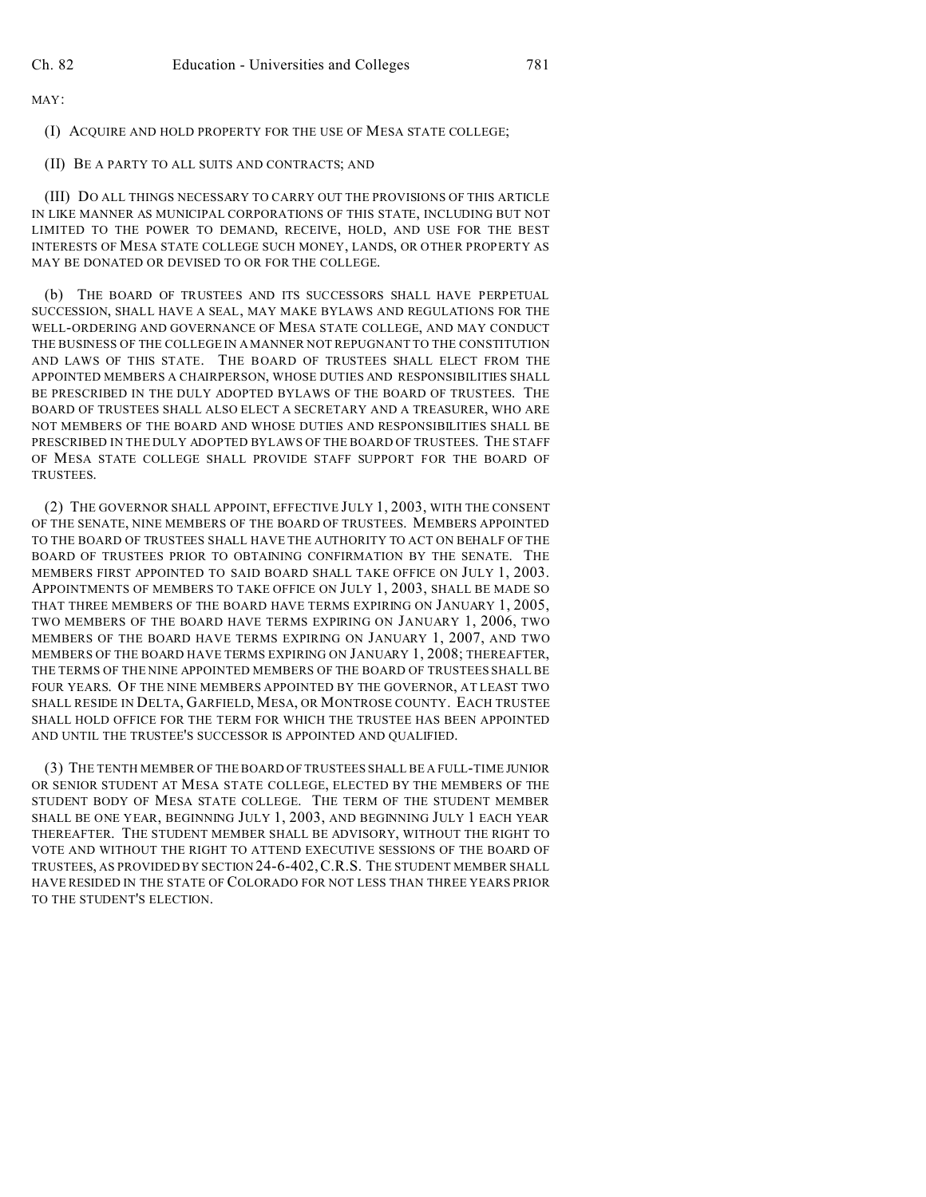MAY:

(I) ACQUIRE AND HOLD PROPERTY FOR THE USE OF MESA STATE COLLEGE;

### (II) BE A PARTY TO ALL SUITS AND CONTRACTS; AND

(III) DO ALL THINGS NECESSARY TO CARRY OUT THE PROVISIONS OF THIS ARTICLE IN LIKE MANNER AS MUNICIPAL CORPORATIONS OF THIS STATE, INCLUDING BUT NOT LIMITED TO THE POWER TO DEMAND, RECEIVE, HOLD, AND USE FOR THE BEST INTERESTS OF MESA STATE COLLEGE SUCH MONEY, LANDS, OR OTHER PROPERTY AS MAY BE DONATED OR DEVISED TO OR FOR THE COLLEGE.

(b) THE BOARD OF TRUSTEES AND ITS SUCCESSORS SHALL HAVE PERPETUAL SUCCESSION, SHALL HAVE A SEAL, MAY MAKE BYLAWS AND REGULATIONS FOR THE WELL-ORDERING AND GOVERNANCE OF MESA STATE COLLEGE, AND MAY CONDUCT THE BUSINESS OF THE COLLEGE IN A MANNER NOT REPUGNANT TO THE CONSTITUTION AND LAWS OF THIS STATE. THE BOARD OF TRUSTEES SHALL ELECT FROM THE APPOINTED MEMBERS A CHAIRPERSON, WHOSE DUTIES AND RESPONSIBILITIES SHALL BE PRESCRIBED IN THE DULY ADOPTED BYLAWS OF THE BOARD OF TRUSTEES. THE BOARD OF TRUSTEES SHALL ALSO ELECT A SECRETARY AND A TREASURER, WHO ARE NOT MEMBERS OF THE BOARD AND WHOSE DUTIES AND RESPONSIBILITIES SHALL BE PRESCRIBED IN THE DULY ADOPTED BYLAWS OF THE BOARD OF TRUSTEES. THE STAFF OF MESA STATE COLLEGE SHALL PROVIDE STAFF SUPPORT FOR THE BOARD OF TRUSTEES.

(2) THE GOVERNOR SHALL APPOINT, EFFECTIVE JULY 1, 2003, WITH THE CONSENT OF THE SENATE, NINE MEMBERS OF THE BOARD OF TRUSTEES. MEMBERS APPOINTED TO THE BOARD OF TRUSTEES SHALL HAVE THE AUTHORITY TO ACT ON BEHALF OF THE BOARD OF TRUSTEES PRIOR TO OBTAINING CONFIRMATION BY THE SENATE. THE MEMBERS FIRST APPOINTED TO SAID BOARD SHALL TAKE OFFICE ON JULY 1, 2003. APPOINTMENTS OF MEMBERS TO TAKE OFFICE ON JULY 1, 2003, SHALL BE MADE SO THAT THREE MEMBERS OF THE BOARD HAVE TERMS EXPIRING ON JANUARY 1, 2005, TWO MEMBERS OF THE BOARD HAVE TERMS EXPIRING ON JANUARY 1, 2006, TWO MEMBERS OF THE BOARD HAVE TERMS EXPIRING ON JANUARY 1, 2007, AND TWO MEMBERS OF THE BOARD HAVE TERMS EXPIRING ON JANUARY 1, 2008; THEREAFTER, THE TERMS OF THE NINE APPOINTED MEMBERS OF THE BOARD OF TRUSTEES SHALL BE FOUR YEARS. OF THE NINE MEMBERS APPOINTED BY THE GOVERNOR, AT LEAST TWO SHALL RESIDE IN DELTA, GARFIELD, MESA, OR MONTROSE COUNTY. EACH TRUSTEE SHALL HOLD OFFICE FOR THE TERM FOR WHICH THE TRUSTEE HAS BEEN APPOINTED AND UNTIL THE TRUSTEE'S SUCCESSOR IS APPOINTED AND QUALIFIED.

(3) THE TENTH MEMBER OF THE BOARD OF TRUSTEES SHALL BE A FULL-TIME JUNIOR OR SENIOR STUDENT AT MESA STATE COLLEGE, ELECTED BY THE MEMBERS OF THE STUDENT BODY OF MESA STATE COLLEGE. THE TERM OF THE STUDENT MEMBER SHALL BE ONE YEAR, BEGINNING JULY 1, 2003, AND BEGINNING JULY 1 EACH YEAR THEREAFTER. THE STUDENT MEMBER SHALL BE ADVISORY, WITHOUT THE RIGHT TO VOTE AND WITHOUT THE RIGHT TO ATTEND EXECUTIVE SESSIONS OF THE BOARD OF TRUSTEES, AS PROVIDED BY SECTION 24-6-402,C.R.S. THE STUDENT MEMBER SHALL HAVE RESIDED IN THE STATE OF COLORADO FOR NOT LESS THAN THREE YEARS PRIOR TO THE STUDENT'S ELECTION.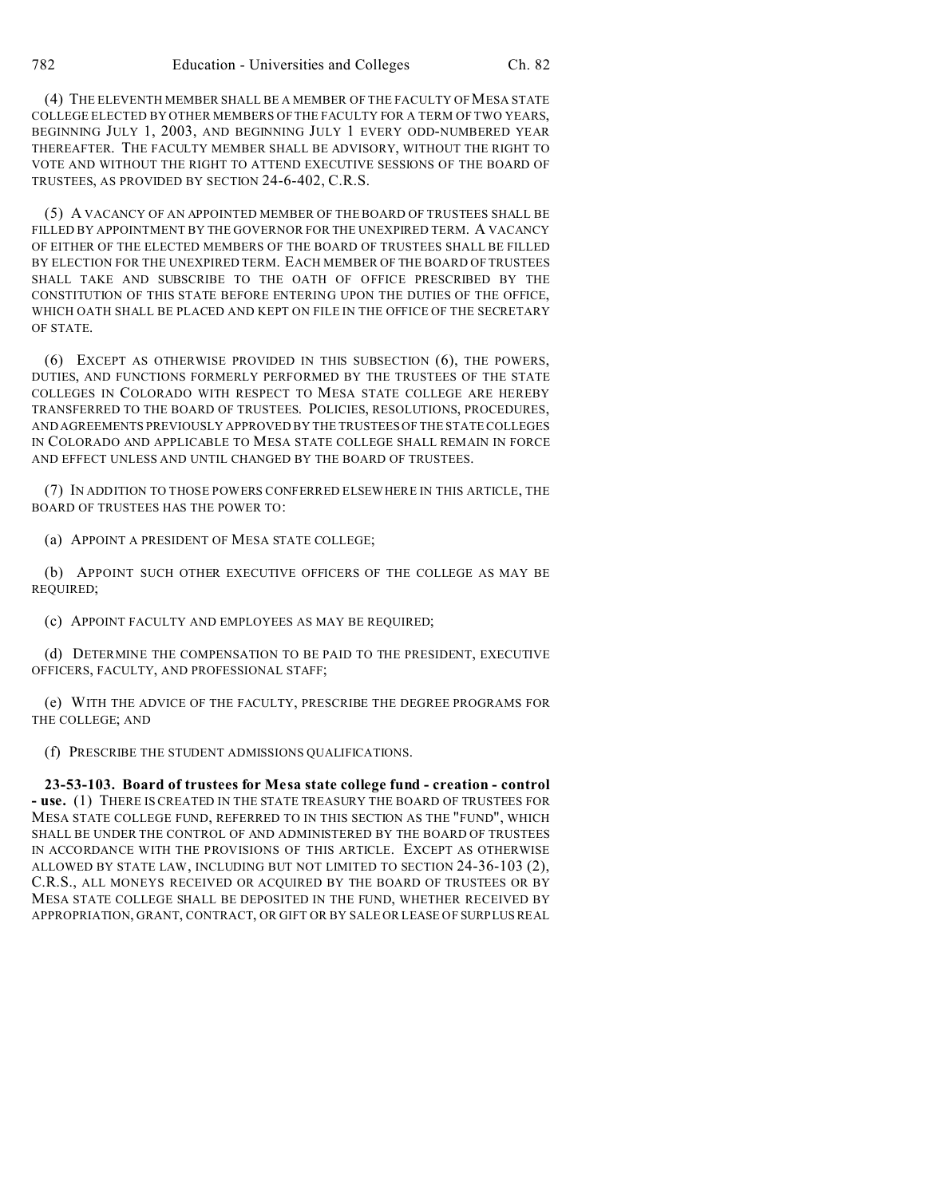(4) THE ELEVENTH MEMBER SHALL BE A MEMBER OF THE FACULTY OF MESA STATE COLLEGE ELECTED BY OTHER MEMBERS OF THE FACULTY FOR A TERM OF TWO YEARS, BEGINNING JULY 1, 2003, AND BEGINNING JULY 1 EVERY ODD-NUMBERED YEAR THEREAFTER. THE FACULTY MEMBER SHALL BE ADVISORY, WITHOUT THE RIGHT TO VOTE AND WITHOUT THE RIGHT TO ATTEND EXECUTIVE SESSIONS OF THE BOARD OF TRUSTEES, AS PROVIDED BY SECTION 24-6-402, C.R.S.

(5) A VACANCY OF AN APPOINTED MEMBER OF THE BOARD OF TRUSTEES SHALL BE FILLED BY APPOINTMENT BY THE GOVERNOR FOR THE UNEXPIRED TERM. A VACANCY OF EITHER OF THE ELECTED MEMBERS OF THE BOARD OF TRUSTEES SHALL BE FILLED BY ELECTION FOR THE UNEXPIRED TERM. EACH MEMBER OF THE BOARD OF TRUSTEES SHALL TAKE AND SUBSCRIBE TO THE OATH OF OFFICE PRESCRIBED BY THE CONSTITUTION OF THIS STATE BEFORE ENTERING UPON THE DUTIES OF THE OFFICE, WHICH OATH SHALL BE PLACED AND KEPT ON FILE IN THE OFFICE OF THE SECRETARY OF STATE.

(6) EXCEPT AS OTHERWISE PROVIDED IN THIS SUBSECTION (6), THE POWERS, DUTIES, AND FUNCTIONS FORMERLY PERFORMED BY THE TRUSTEES OF THE STATE COLLEGES IN COLORADO WITH RESPECT TO MESA STATE COLLEGE ARE HEREBY TRANSFERRED TO THE BOARD OF TRUSTEES. POLICIES, RESOLUTIONS, PROCEDURES, AND AGREEMENTS PREVIOUSLY APPROVED BY THE TRUSTEES OF THE STATE COLLEGES IN COLORADO AND APPLICABLE TO MESA STATE COLLEGE SHALL REMAIN IN FORCE AND EFFECT UNLESS AND UNTIL CHANGED BY THE BOARD OF TRUSTEES.

(7) IN ADDITION TO THOSE POWERS CONFERRED ELSEWHERE IN THIS ARTICLE, THE BOARD OF TRUSTEES HAS THE POWER TO:

(a) APPOINT A PRESIDENT OF MESA STATE COLLEGE;

(b) APPOINT SUCH OTHER EXECUTIVE OFFICERS OF THE COLLEGE AS MAY BE REQUIRED;

(c) APPOINT FACULTY AND EMPLOYEES AS MAY BE REQUIRED;

(d) DETERMINE THE COMPENSATION TO BE PAID TO THE PRESIDENT, EXECUTIVE OFFICERS, FACULTY, AND PROFESSIONAL STAFF;

(e) WITH THE ADVICE OF THE FACULTY, PRESCRIBE THE DEGREE PROGRAMS FOR THE COLLEGE; AND

(f) PRESCRIBE THE STUDENT ADMISSIONS QUALIFICATIONS.

**23-53-103. Board of trustees for Mesa state college fund - creation - control - use.** (1) THERE IS CREATED IN THE STATE TREASURY THE BOARD OF TRUSTEES FOR MESA STATE COLLEGE FUND, REFERRED TO IN THIS SECTION AS THE "FUND", WHICH SHALL BE UNDER THE CONTROL OF AND ADMINISTERED BY THE BOARD OF TRUSTEES IN ACCORDANCE WITH THE PROVISIONS OF THIS ARTICLE. EXCEPT AS OTHERWISE ALLOWED BY STATE LAW, INCLUDING BUT NOT LIMITED TO SECTION 24-36-103 (2), C.R.S., ALL MONEYS RECEIVED OR ACQUIRED BY THE BOARD OF TRUSTEES OR BY MESA STATE COLLEGE SHALL BE DEPOSITED IN THE FUND, WHETHER RECEIVED BY APPROPRIATION, GRANT, CONTRACT, OR GIFT OR BY SALE OR LEASE OF SURPLUS REAL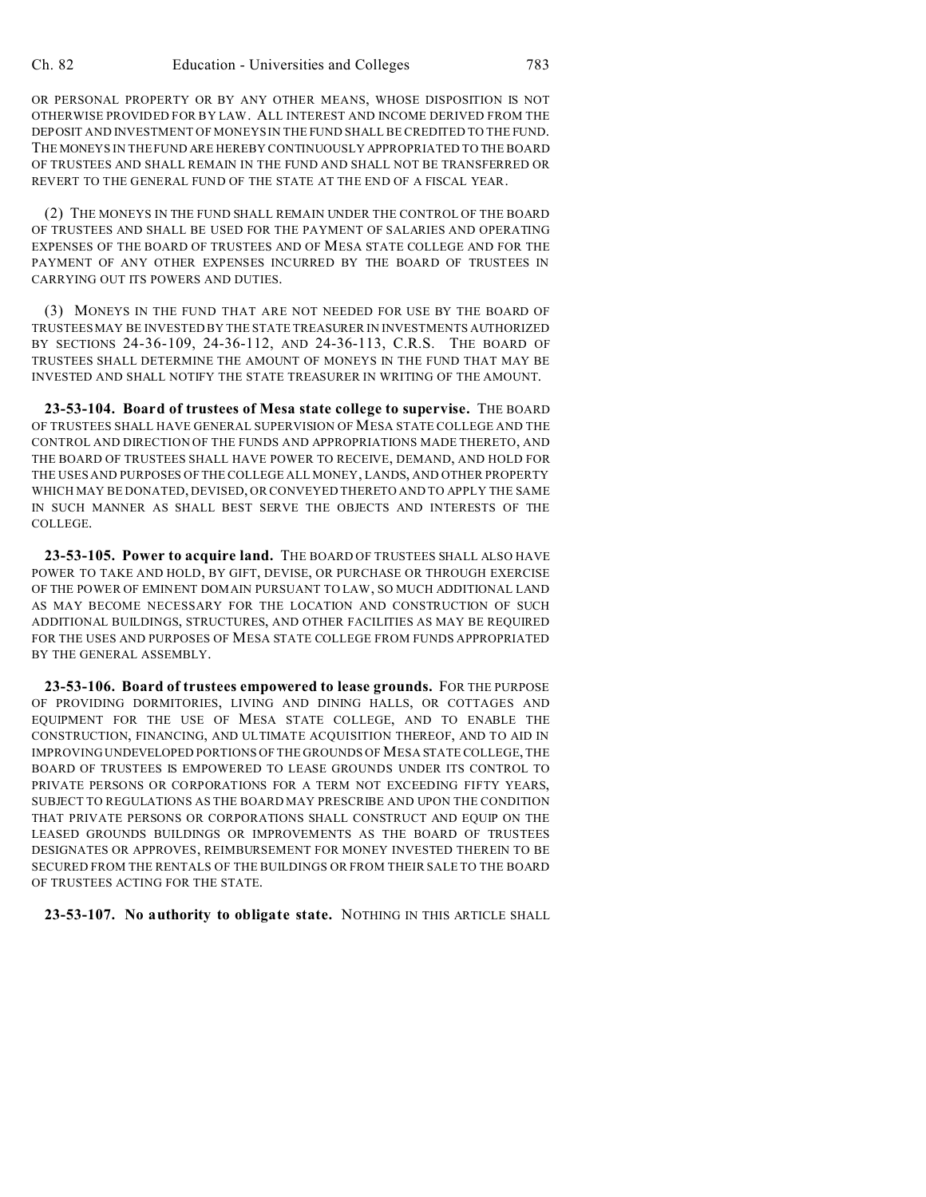OR PERSONAL PROPERTY OR BY ANY OTHER MEANS, WHOSE DISPOSITION IS NOT OTHERWISE PROVIDED FOR BY LAW. ALL INTEREST AND INCOME DERIVED FROM THE DEPOSIT AND INVESTMENT OF MONEYS IN THE FUND SHALL BE CREDITED TO THE FUND. THE MONEYS IN THE FUND ARE HEREBY CONTINUOUSLY APPROPRIATED TO THE BOARD OF TRUSTEES AND SHALL REMAIN IN THE FUND AND SHALL NOT BE TRANSFERRED OR REVERT TO THE GENERAL FUND OF THE STATE AT THE END OF A FISCAL YEAR.

(2) THE MONEYS IN THE FUND SHALL REMAIN UNDER THE CONTROL OF THE BOARD OF TRUSTEES AND SHALL BE USED FOR THE PAYMENT OF SALARIES AND OPERATING EXPENSES OF THE BOARD OF TRUSTEES AND OF MESA STATE COLLEGE AND FOR THE PAYMENT OF ANY OTHER EXPENSES INCURRED BY THE BOARD OF TRUSTEES IN CARRYING OUT ITS POWERS AND DUTIES.

(3) MONEYS IN THE FUND THAT ARE NOT NEEDED FOR USE BY THE BOARD OF TRUSTEES MAY BE INVESTED BY THE STATE TREASURER IN INVESTMENTS AUTHORIZED BY SECTIONS 24-36-109, 24-36-112, AND 24-36-113, C.R.S. THE BOARD OF TRUSTEES SHALL DETERMINE THE AMOUNT OF MONEYS IN THE FUND THAT MAY BE INVESTED AND SHALL NOTIFY THE STATE TREASURER IN WRITING OF THE AMOUNT.

**23-53-104. Board of trustees of Mesa state college to supervise.** THE BOARD OF TRUSTEES SHALL HAVE GENERAL SUPERVISION OF MESA STATE COLLEGE AND THE CONTROL AND DIRECTION OF THE FUNDS AND APPROPRIATIONS MADE THERETO, AND THE BOARD OF TRUSTEES SHALL HAVE POWER TO RECEIVE, DEMAND, AND HOLD FOR THE USES AND PURPOSES OF THE COLLEGE ALL MONEY, LANDS, AND OTHER PROPERTY WHICH MAY BE DONATED, DEVISED, OR CONVEYED THERETO AND TO APPLY THE SAME IN SUCH MANNER AS SHALL BEST SERVE THE OBJECTS AND INTERESTS OF THE COLLEGE.

**23-53-105. Power to acquire land.** THE BOARD OF TRUSTEES SHALL ALSO HAVE POWER TO TAKE AND HOLD, BY GIFT, DEVISE, OR PURCHASE OR THROUGH EXERCISE OF THE POWER OF EMINENT DOMAIN PURSUANT TO LAW, SO MUCH ADDITIONAL LAND AS MAY BECOME NECESSARY FOR THE LOCATION AND CONSTRUCTION OF SUCH ADDITIONAL BUILDINGS, STRUCTURES, AND OTHER FACILITIES AS MAY BE REQUIRED FOR THE USES AND PURPOSES OF MESA STATE COLLEGE FROM FUNDS APPROPRIATED BY THE GENERAL ASSEMBLY.

**23-53-106. Board of trustees empowered to lease grounds.** FOR THE PURPOSE OF PROVIDING DORMITORIES, LIVING AND DINING HALLS, OR COTTAGES AND EQUIPMENT FOR THE USE OF MESA STATE COLLEGE, AND TO ENABLE THE CONSTRUCTION, FINANCING, AND ULTIMATE ACQUISITION THEREOF, AND TO AID IN IMPROVING UNDEVELOPED PORTIONS OF THE GROUNDS OF MESA STATE COLLEGE, THE BOARD OF TRUSTEES IS EMPOWERED TO LEASE GROUNDS UNDER ITS CONTROL TO PRIVATE PERSONS OR CORPORATIONS FOR A TERM NOT EXCEEDING FIFTY YEARS, SUBJECT TO REGULATIONS AS THE BOARD MAY PRESCRIBE AND UPON THE CONDITION THAT PRIVATE PERSONS OR CORPORATIONS SHALL CONSTRUCT AND EQUIP ON THE LEASED GROUNDS BUILDINGS OR IMPROVEMENTS AS THE BOARD OF TRUSTEES DESIGNATES OR APPROVES, REIMBURSEMENT FOR MONEY INVESTED THEREIN TO BE SECURED FROM THE RENTALS OF THE BUILDINGS OR FROM THEIR SALE TO THE BOARD OF TRUSTEES ACTING FOR THE STATE.

**23-53-107. No authority to obligate state.** NOTHING IN THIS ARTICLE SHALL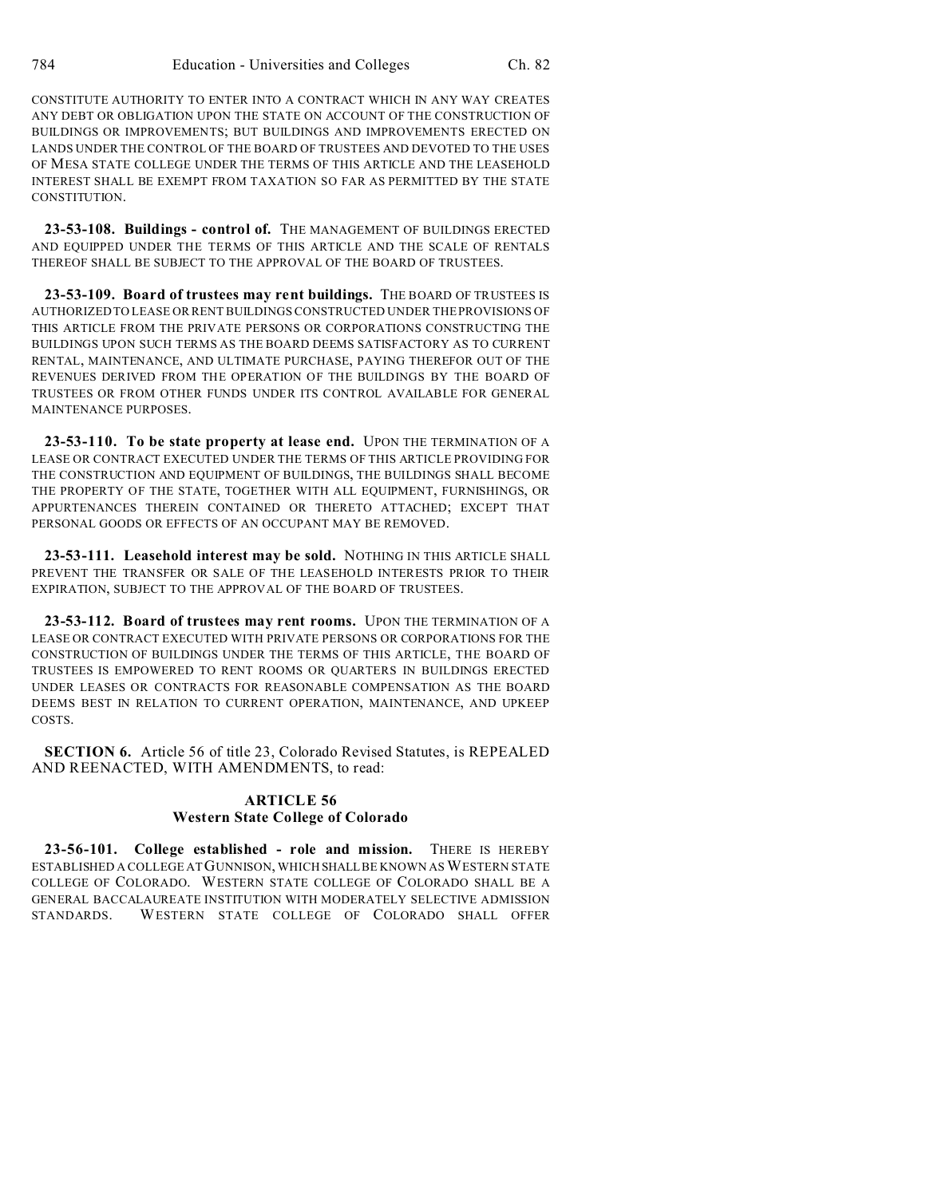CONSTITUTE AUTHORITY TO ENTER INTO A CONTRACT WHICH IN ANY WAY CREATES ANY DEBT OR OBLIGATION UPON THE STATE ON ACCOUNT OF THE CONSTRUCTION OF BUILDINGS OR IMPROVEMENTS; BUT BUILDINGS AND IMPROVEMENTS ERECTED ON LANDS UNDER THE CONTROL OF THE BOARD OF TRUSTEES AND DEVOTED TO THE USES OF MESA STATE COLLEGE UNDER THE TERMS OF THIS ARTICLE AND THE LEASEHOLD INTEREST SHALL BE EXEMPT FROM TAXATION SO FAR AS PERMITTED BY THE STATE CONSTITUTION.

**23-53-108. Buildings - control of.** THE MANAGEMENT OF BUILDINGS ERECTED AND EQUIPPED UNDER THE TERMS OF THIS ARTICLE AND THE SCALE OF RENTALS THEREOF SHALL BE SUBJECT TO THE APPROVAL OF THE BOARD OF TRUSTEES.

**23-53-109. Board of trustees may rent buildings.** THE BOARD OF TRUSTEES IS AUTHORIZED TO LEASE OR RENT BUILDINGS CONSTRUCTED UNDER THE PROVISIONS OF THIS ARTICLE FROM THE PRIVATE PERSONS OR CORPORATIONS CONSTRUCTING THE BUILDINGS UPON SUCH TERMS AS THE BOARD DEEMS SATISFACTORY AS TO CURRENT RENTAL, MAINTENANCE, AND ULTIMATE PURCHASE, PAYING THEREFOR OUT OF THE REVENUES DERIVED FROM THE OPERATION OF THE BUILDINGS BY THE BOARD OF TRUSTEES OR FROM OTHER FUNDS UNDER ITS CONTROL AVAILABLE FOR GENERAL MAINTENANCE PURPOSES.

**23-53-110. To be state property at lease end.** UPON THE TERMINATION OF A LEASE OR CONTRACT EXECUTED UNDER THE TERMS OF THIS ARTICLE PROVIDING FOR THE CONSTRUCTION AND EQUIPMENT OF BUILDINGS, THE BUILDINGS SHALL BECOME THE PROPERTY OF THE STATE, TOGETHER WITH ALL EQUIPMENT, FURNISHINGS, OR APPURTENANCES THEREIN CONTAINED OR THERETO ATTACHED; EXCEPT THAT PERSONAL GOODS OR EFFECTS OF AN OCCUPANT MAY BE REMOVED.

**23-53-111. Leasehold interest may be sold.** NOTHING IN THIS ARTICLE SHALL PREVENT THE TRANSFER OR SALE OF THE LEASEHOLD INTERESTS PRIOR TO THEIR EXPIRATION, SUBJECT TO THE APPROVAL OF THE BOARD OF TRUSTEES.

**23-53-112. Board of trustees may rent rooms.** UPON THE TERMINATION OF A LEASE OR CONTRACT EXECUTED WITH PRIVATE PERSONS OR CORPORATIONS FOR THE CONSTRUCTION OF BUILDINGS UNDER THE TERMS OF THIS ARTICLE, THE BOARD OF TRUSTEES IS EMPOWERED TO RENT ROOMS OR QUARTERS IN BUILDINGS ERECTED UNDER LEASES OR CONTRACTS FOR REASONABLE COMPENSATION AS THE BOARD DEEMS BEST IN RELATION TO CURRENT OPERATION, MAINTENANCE, AND UPKEEP COSTS.

**SECTION 6.** Article 56 of title 23, Colorado Revised Statutes, is REPEALED AND REENACTED, WITH AMENDMENTS, to read:

## **ARTICLE 56 Western State College of Colorado**

**23-56-101. College established - role and mission.** THERE IS HEREBY ESTABLISHED A COLLEGE AT GUNNISON, WHICH SHALL BE KNOWN AS WESTERN STATE COLLEGE OF COLORADO. WESTERN STATE COLLEGE OF COLORADO SHALL BE A GENERAL BACCALAUREATE INSTITUTION WITH MODERATELY SELECTIVE ADMISSION STANDARDS. WESTERN STATE COLLEGE OF COLORADO SHALL OFFER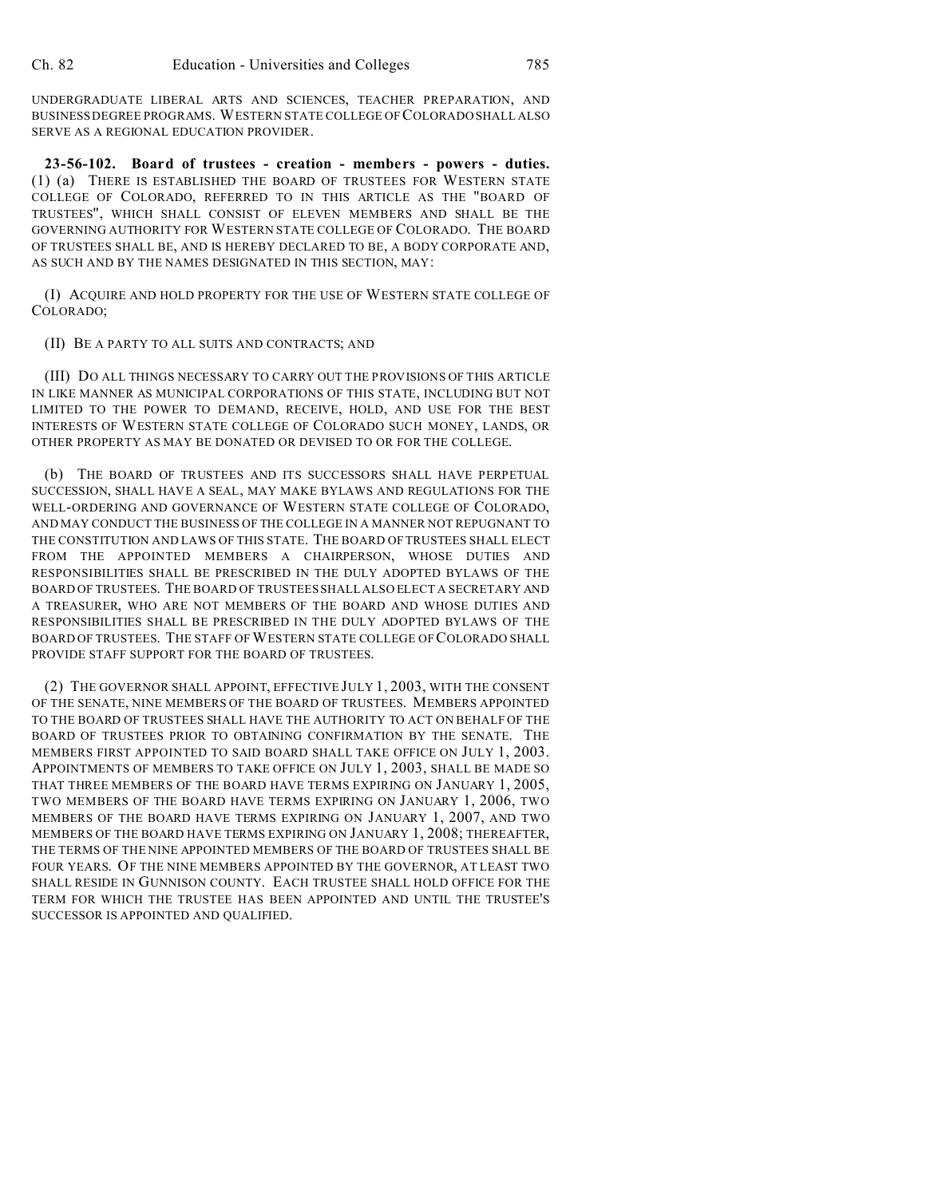UNDERGRADUATE LIBERAL ARTS AND SCIENCES, TEACHER PREPARATION, AND BUSINESS DEGREE PROGRAMS. WESTERN STATE COLLEGE OF COLORADO SHALL ALSO SERVE AS A REGIONAL EDUCATION PROVIDER.

**23-56-102. Board of trustees - creation - members - powers - duties.** (1) (a) THERE IS ESTABLISHED THE BOARD OF TRUSTEES FOR WESTERN STATE COLLEGE OF COLORADO, REFERRED TO IN THIS ARTICLE AS THE "BOARD OF TRUSTEES", WHICH SHALL CONSIST OF ELEVEN MEMBERS AND SHALL BE THE GOVERNING AUTHORITY FOR WESTERN STATE COLLEGE OF COLORADO. THE BOARD OF TRUSTEES SHALL BE, AND IS HEREBY DECLARED TO BE, A BODY CORPORATE AND, AS SUCH AND BY THE NAMES DESIGNATED IN THIS SECTION, MAY:

(I) ACQUIRE AND HOLD PROPERTY FOR THE USE OF WESTERN STATE COLLEGE OF COLORADO;

#### (II) BE A PARTY TO ALL SUITS AND CONTRACTS; AND

(III) DO ALL THINGS NECESSARY TO CARRY OUT THE PROVISIONS OF THIS ARTICLE IN LIKE MANNER AS MUNICIPAL CORPORATIONS OF THIS STATE, INCLUDING BUT NOT LIMITED TO THE POWER TO DEMAND, RECEIVE, HOLD, AND USE FOR THE BEST INTERESTS OF WESTERN STATE COLLEGE OF COLORADO SUCH MONEY, LANDS, OR OTHER PROPERTY AS MAY BE DONATED OR DEVISED TO OR FOR THE COLLEGE.

(b) THE BOARD OF TRUSTEES AND ITS SUCCESSORS SHALL HAVE PERPETUAL SUCCESSION, SHALL HAVE A SEAL, MAY MAKE BYLAWS AND REGULATIONS FOR THE WELL-ORDERING AND GOVERNANCE OF WESTERN STATE COLLEGE OF COLORADO, AND MAY CONDUCT THE BUSINESS OF THE COLLEGE IN A MANNER NOT REPUGNANT TO THE CONSTITUTION AND LAWS OF THIS STATE. THE BOARD OF TRUSTEES SHALL ELECT FROM THE APPOINTED MEMBERS A CHAIRPERSON, WHOSE DUTIES AND RESPONSIBILITIES SHALL BE PRESCRIBED IN THE DULY ADOPTED BYLAWS OF THE BOARD OF TRUSTEES. THE BOARD OF TRUSTEES SHALL ALSO ELECT A SECRETARY AND A TREASURER, WHO ARE NOT MEMBERS OF THE BOARD AND WHOSE DUTIES AND RESPONSIBILITIES SHALL BE PRESCRIBED IN THE DULY ADOPTED BYLAWS OF THE BOARD OF TRUSTEES. THE STAFF OF WESTERN STATE COLLEGE OF COLORADO SHALL PROVIDE STAFF SUPPORT FOR THE BOARD OF TRUSTEES.

(2) THE GOVERNOR SHALL APPOINT, EFFECTIVE JULY 1, 2003, WITH THE CONSENT OF THE SENATE, NINE MEMBERS OF THE BOARD OF TRUSTEES. MEMBERS APPOINTED TO THE BOARD OF TRUSTEES SHALL HAVE THE AUTHORITY TO ACT ON BEHALF OF THE BOARD OF TRUSTEES PRIOR TO OBTAINING CONFIRMATION BY THE SENATE. THE MEMBERS FIRST APPOINTED TO SAID BOARD SHALL TAKE OFFICE ON JULY 1, 2003. APPOINTMENTS OF MEMBERS TO TAKE OFFICE ON JULY 1, 2003, SHALL BE MADE SO THAT THREE MEMBERS OF THE BOARD HAVE TERMS EXPIRING ON JANUARY 1, 2005, TWO MEMBERS OF THE BOARD HAVE TERMS EXPIRING ON JANUARY 1, 2006, TWO MEMBERS OF THE BOARD HAVE TERMS EXPIRING ON JANUARY 1, 2007, AND TWO MEMBERS OF THE BOARD HAVE TERMS EXPIRING ON JANUARY 1, 2008; THEREAFTER, THE TERMS OF THE NINE APPOINTED MEMBERS OF THE BOARD OF TRUSTEES SHALL BE FOUR YEARS. OF THE NINE MEMBERS APPOINTED BY THE GOVERNOR, AT LEAST TWO SHALL RESIDE IN GUNNISON COUNTY. EACH TRUSTEE SHALL HOLD OFFICE FOR THE TERM FOR WHICH THE TRUSTEE HAS BEEN APPOINTED AND UNTIL THE TRUSTEE'S SUCCESSOR IS APPOINTED AND QUALIFIED.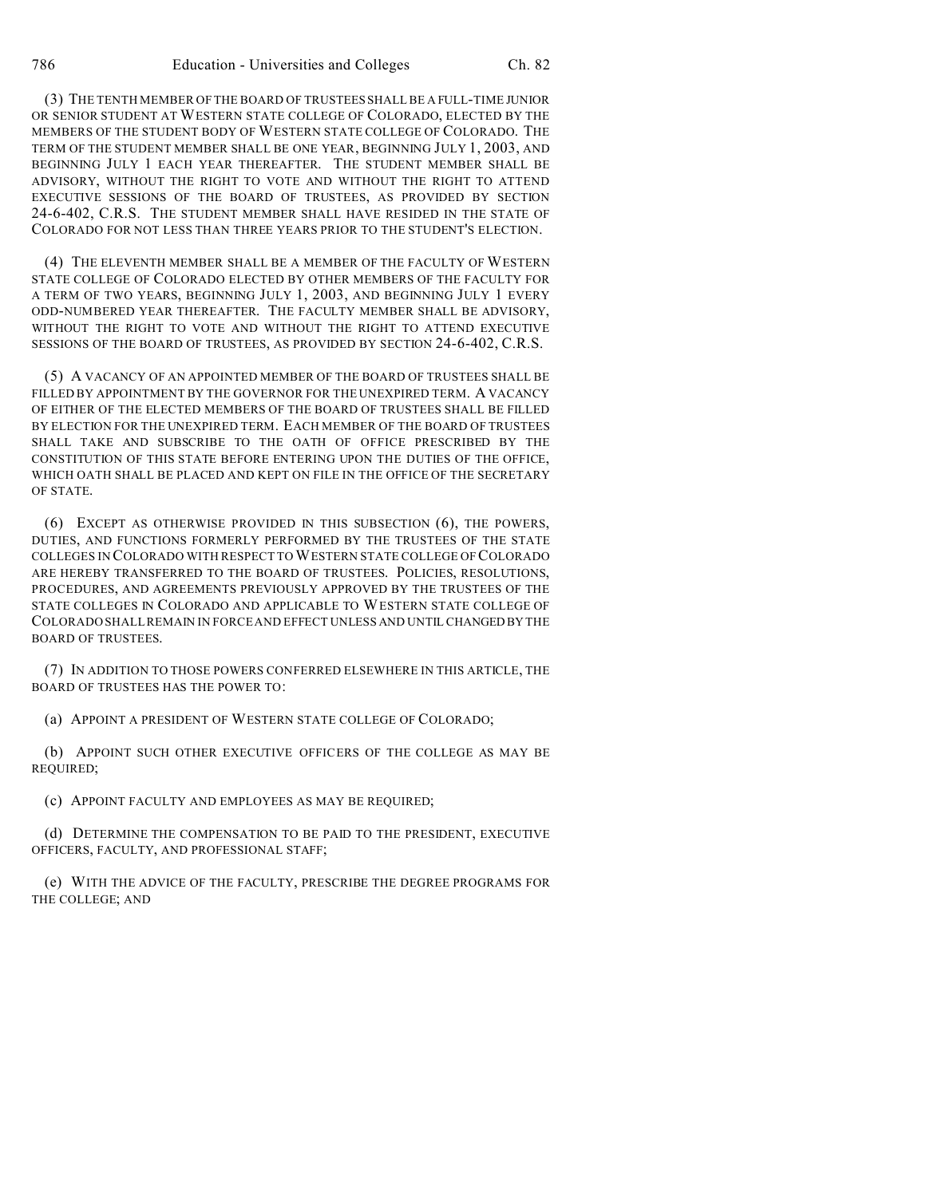(3) THE TENTH MEMBER OF THE BOARD OF TRUSTEES SHALL BE A FULL-TIME JUNIOR OR SENIOR STUDENT AT WESTERN STATE COLLEGE OF COLORADO, ELECTED BY THE MEMBERS OF THE STUDENT BODY OF WESTERN STATE COLLEGE OF COLORADO. THE TERM OF THE STUDENT MEMBER SHALL BE ONE YEAR, BEGINNING JULY 1, 2003, AND BEGINNING JULY 1 EACH YEAR THEREAFTER. THE STUDENT MEMBER SHALL BE ADVISORY, WITHOUT THE RIGHT TO VOTE AND WITHOUT THE RIGHT TO ATTEND EXECUTIVE SESSIONS OF THE BOARD OF TRUSTEES, AS PROVIDED BY SECTION 24-6-402, C.R.S. THE STUDENT MEMBER SHALL HAVE RESIDED IN THE STATE OF COLORADO FOR NOT LESS THAN THREE YEARS PRIOR TO THE STUDENT'S ELECTION.

(4) THE ELEVENTH MEMBER SHALL BE A MEMBER OF THE FACULTY OF WESTERN STATE COLLEGE OF COLORADO ELECTED BY OTHER MEMBERS OF THE FACULTY FOR A TERM OF TWO YEARS, BEGINNING JULY 1, 2003, AND BEGINNING JULY 1 EVERY ODD-NUMBERED YEAR THEREAFTER. THE FACULTY MEMBER SHALL BE ADVISORY, WITHOUT THE RIGHT TO VOTE AND WITHOUT THE RIGHT TO ATTEND EXECUTIVE SESSIONS OF THE BOARD OF TRUSTEES, AS PROVIDED BY SECTION 24-6-402, C.R.S.

(5) A VACANCY OF AN APPOINTED MEMBER OF THE BOARD OF TRUSTEES SHALL BE FILLED BY APPOINTMENT BY THE GOVERNOR FOR THE UNEXPIRED TERM. A VACANCY OF EITHER OF THE ELECTED MEMBERS OF THE BOARD OF TRUSTEES SHALL BE FILLED BY ELECTION FOR THE UNEXPIRED TERM. EACH MEMBER OF THE BOARD OF TRUSTEES SHALL TAKE AND SUBSCRIBE TO THE OATH OF OFFICE PRESCRIBED BY THE CONSTITUTION OF THIS STATE BEFORE ENTERING UPON THE DUTIES OF THE OFFICE, WHICH OATH SHALL BE PLACED AND KEPT ON FILE IN THE OFFICE OF THE SECRETARY OF STATE.

(6) EXCEPT AS OTHERWISE PROVIDED IN THIS SUBSECTION (6), THE POWERS, DUTIES, AND FUNCTIONS FORMERLY PERFORMED BY THE TRUSTEES OF THE STATE COLLEGES IN COLORADO WITH RESPECT TO WESTERN STATE COLLEGE OF COLORADO ARE HEREBY TRANSFERRED TO THE BOARD OF TRUSTEES. POLICIES, RESOLUTIONS, PROCEDURES, AND AGREEMENTS PREVIOUSLY APPROVED BY THE TRUSTEES OF THE STATE COLLEGES IN COLORADO AND APPLICABLE TO WESTERN STATE COLLEGE OF COLORADO SHALL REMAIN IN FORCE AND EFFECT UNLESS AND UNTIL CHANGEDBY THE BOARD OF TRUSTEES.

(7) IN ADDITION TO THOSE POWERS CONFERRED ELSEWHERE IN THIS ARTICLE, THE BOARD OF TRUSTEES HAS THE POWER TO:

(a) APPOINT A PRESIDENT OF WESTERN STATE COLLEGE OF COLORADO;

(b) APPOINT SUCH OTHER EXECUTIVE OFFICERS OF THE COLLEGE AS MAY BE REQUIRED;

(c) APPOINT FACULTY AND EMPLOYEES AS MAY BE REQUIRED;

(d) DETERMINE THE COMPENSATION TO BE PAID TO THE PRESIDENT, EXECUTIVE OFFICERS, FACULTY, AND PROFESSIONAL STAFF;

(e) WITH THE ADVICE OF THE FACULTY, PRESCRIBE THE DEGREE PROGRAMS FOR THE COLLEGE; AND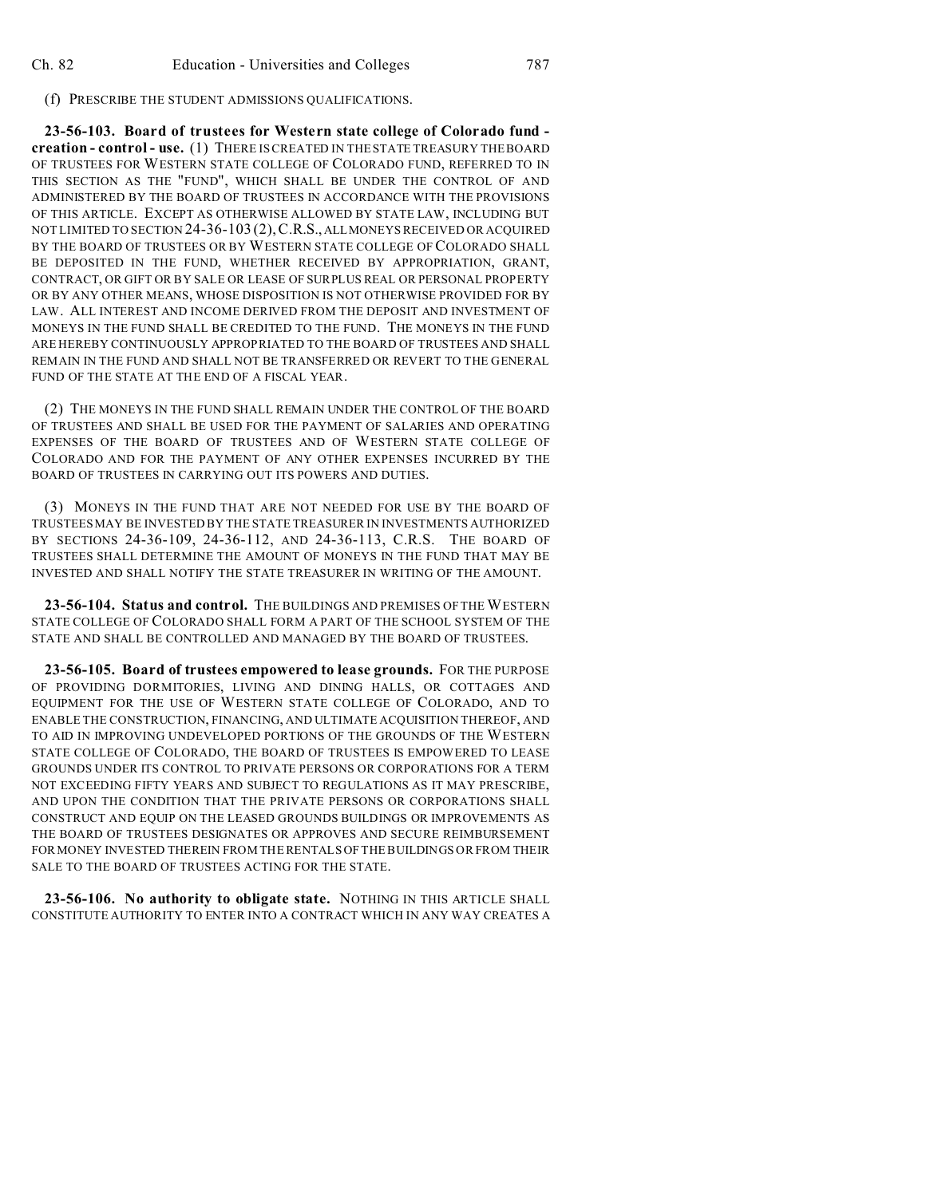#### (f) PRESCRIBE THE STUDENT ADMISSIONS QUALIFICATIONS.

**23-56-103. Board of trustees for Western state college of Colorado fund creation - control - use.** (1) THERE IS CREATED IN THE STATE TREASURY THE BOARD OF TRUSTEES FOR WESTERN STATE COLLEGE OF COLORADO FUND, REFERRED TO IN THIS SECTION AS THE "FUND", WHICH SHALL BE UNDER THE CONTROL OF AND ADMINISTERED BY THE BOARD OF TRUSTEES IN ACCORDANCE WITH THE PROVISIONS OF THIS ARTICLE. EXCEPT AS OTHERWISE ALLOWED BY STATE LAW, INCLUDING BUT NOT LIMITED TO SECTION 24-36-103 (2),C.R.S., ALLMONEYS RECEIVED OR ACQUIRED BY THE BOARD OF TRUSTEES OR BY WESTERN STATE COLLEGE OF COLORADO SHALL BE DEPOSITED IN THE FUND, WHETHER RECEIVED BY APPROPRIATION, GRANT, CONTRACT, OR GIFT OR BY SALE OR LEASE OF SURPLUS REAL OR PERSONAL PROPERTY OR BY ANY OTHER MEANS, WHOSE DISPOSITION IS NOT OTHERWISE PROVIDED FOR BY LAW. ALL INTEREST AND INCOME DERIVED FROM THE DEPOSIT AND INVESTMENT OF MONEYS IN THE FUND SHALL BE CREDITED TO THE FUND. THE MONEYS IN THE FUND ARE HEREBY CONTINUOUSLY APPROPRIATED TO THE BOARD OF TRUSTEES AND SHALL REMAIN IN THE FUND AND SHALL NOT BE TRANSFERRED OR REVERT TO THE GENERAL FUND OF THE STATE AT THE END OF A FISCAL YEAR.

(2) THE MONEYS IN THE FUND SHALL REMAIN UNDER THE CONTROL OF THE BOARD OF TRUSTEES AND SHALL BE USED FOR THE PAYMENT OF SALARIES AND OPERATING EXPENSES OF THE BOARD OF TRUSTEES AND OF WESTERN STATE COLLEGE OF COLORADO AND FOR THE PAYMENT OF ANY OTHER EXPENSES INCURRED BY THE BOARD OF TRUSTEES IN CARRYING OUT ITS POWERS AND DUTIES.

(3) MONEYS IN THE FUND THAT ARE NOT NEEDED FOR USE BY THE BOARD OF TRUSTEES MAY BE INVESTED BY THE STATE TREASURER IN INVESTMENTS AUTHORIZED BY SECTIONS 24-36-109, 24-36-112, AND 24-36-113, C.R.S. THE BOARD OF TRUSTEES SHALL DETERMINE THE AMOUNT OF MONEYS IN THE FUND THAT MAY BE INVESTED AND SHALL NOTIFY THE STATE TREASURER IN WRITING OF THE AMOUNT.

**23-56-104. Status and control.** THE BUILDINGS AND PREMISES OF THE WESTERN STATE COLLEGE OF COLORADO SHALL FORM A PART OF THE SCHOOL SYSTEM OF THE STATE AND SHALL BE CONTROLLED AND MANAGED BY THE BOARD OF TRUSTEES.

**23-56-105. Board of trustees empowered to lease grounds.** FOR THE PURPOSE OF PROVIDING DORMITORIES, LIVING AND DINING HALLS, OR COTTAGES AND EQUIPMENT FOR THE USE OF WESTERN STATE COLLEGE OF COLORADO, AND TO ENABLE THE CONSTRUCTION, FINANCING, AND ULTIMATE ACQUISITION THEREOF, AND TO AID IN IMPROVING UNDEVELOPED PORTIONS OF THE GROUNDS OF THE WESTERN STATE COLLEGE OF COLORADO, THE BOARD OF TRUSTEES IS EMPOWERED TO LEASE GROUNDS UNDER ITS CONTROL TO PRIVATE PERSONS OR CORPORATIONS FOR A TERM NOT EXCEEDING FIFTY YEARS AND SUBJECT TO REGULATIONS AS IT MAY PRESCRIBE, AND UPON THE CONDITION THAT THE PRIVATE PERSONS OR CORPORATIONS SHALL CONSTRUCT AND EQUIP ON THE LEASED GROUNDS BUILDINGS OR IMPROVEMENTS AS THE BOARD OF TRUSTEES DESIGNATES OR APPROVES AND SECURE REIMBURSEMENT FOR MONEY INVESTED THEREIN FROM THE RENTALS OF THE BUILDINGS OR FROM THEIR SALE TO THE BOARD OF TRUSTEES ACTING FOR THE STATE.

**23-56-106. No authority to obligate state.** NOTHING IN THIS ARTICLE SHALL CONSTITUTE AUTHORITY TO ENTER INTO A CONTRACT WHICH IN ANY WAY CREATES A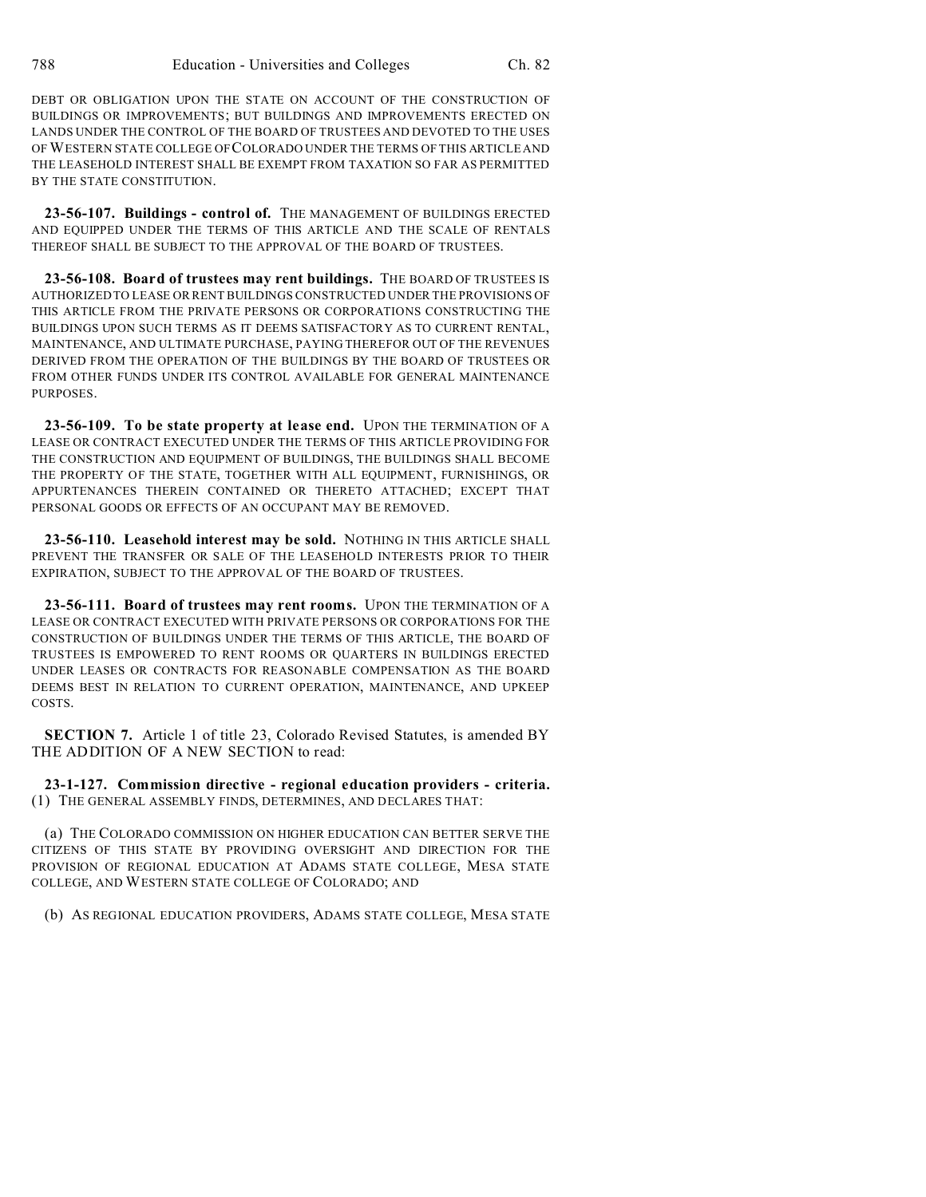DEBT OR OBLIGATION UPON THE STATE ON ACCOUNT OF THE CONSTRUCTION OF BUILDINGS OR IMPROVEMENTS; BUT BUILDINGS AND IMPROVEMENTS ERECTED ON LANDS UNDER THE CONTROL OF THE BOARD OF TRUSTEES AND DEVOTED TO THE USES OFWESTERN STATE COLLEGE OFCOLORADO UNDER THE TERMS OF THIS ARTICLE AND THE LEASEHOLD INTEREST SHALL BE EXEMPT FROM TAXATION SO FAR AS PERMITTED BY THE STATE CONSTITUTION.

**23-56-107. Buildings - control of.** THE MANAGEMENT OF BUILDINGS ERECTED AND EQUIPPED UNDER THE TERMS OF THIS ARTICLE AND THE SCALE OF RENTALS THEREOF SHALL BE SUBJECT TO THE APPROVAL OF THE BOARD OF TRUSTEES.

**23-56-108. Board of trustees may rent buildings.** THE BOARD OF TRUSTEES IS AUTHORIZED TO LEASE OR RENT BUILDINGS CONSTRUCTED UNDER THE PROVISIONS OF THIS ARTICLE FROM THE PRIVATE PERSONS OR CORPORATIONS CONSTRUCTING THE BUILDINGS UPON SUCH TERMS AS IT DEEMS SATISFACTORY AS TO CURRENT RENTAL, MAINTENANCE, AND ULTIMATE PURCHASE, PAYING THEREFOR OUT OF THE REVENUES DERIVED FROM THE OPERATION OF THE BUILDINGS BY THE BOARD OF TRUSTEES OR FROM OTHER FUNDS UNDER ITS CONTROL AVAILABLE FOR GENERAL MAINTENANCE PURPOSES.

**23-56-109. To be state property at lease end.** UPON THE TERMINATION OF A LEASE OR CONTRACT EXECUTED UNDER THE TERMS OF THIS ARTICLE PROVIDING FOR THE CONSTRUCTION AND EQUIPMENT OF BUILDINGS, THE BUILDINGS SHALL BECOME THE PROPERTY OF THE STATE, TOGETHER WITH ALL EQUIPMENT, FURNISHINGS, OR APPURTENANCES THEREIN CONTAINED OR THERETO ATTACHED; EXCEPT THAT PERSONAL GOODS OR EFFECTS OF AN OCCUPANT MAY BE REMOVED.

**23-56-110. Leasehold interest may be sold.** NOTHING IN THIS ARTICLE SHALL PREVENT THE TRANSFER OR SALE OF THE LEASEHOLD INTERESTS PRIOR TO THEIR EXPIRATION, SUBJECT TO THE APPROVAL OF THE BOARD OF TRUSTEES.

**23-56-111. Board of trustees may rent rooms.** UPON THE TERMINATION OF A LEASE OR CONTRACT EXECUTED WITH PRIVATE PERSONS OR CORPORATIONS FOR THE CONSTRUCTION OF BUILDINGS UNDER THE TERMS OF THIS ARTICLE, THE BOARD OF TRUSTEES IS EMPOWERED TO RENT ROOMS OR QUARTERS IN BUILDINGS ERECTED UNDER LEASES OR CONTRACTS FOR REASONABLE COMPENSATION AS THE BOARD DEEMS BEST IN RELATION TO CURRENT OPERATION, MAINTENANCE, AND UPKEEP COSTS.

**SECTION 7.** Article 1 of title 23, Colorado Revised Statutes, is amended BY THE ADDITION OF A NEW SECTION to read:

**23-1-127. Commission directive - regional education providers - criteria.** (1) THE GENERAL ASSEMBLY FINDS, DETERMINES, AND DECLARES THAT:

(a) THE COLORADO COMMISSION ON HIGHER EDUCATION CAN BETTER SERVE THE CITIZENS OF THIS STATE BY PROVIDING OVERSIGHT AND DIRECTION FOR THE PROVISION OF REGIONAL EDUCATION AT ADAMS STATE COLLEGE, MESA STATE COLLEGE, AND WESTERN STATE COLLEGE OF COLORADO; AND

(b) AS REGIONAL EDUCATION PROVIDERS, ADAMS STATE COLLEGE, MESA STATE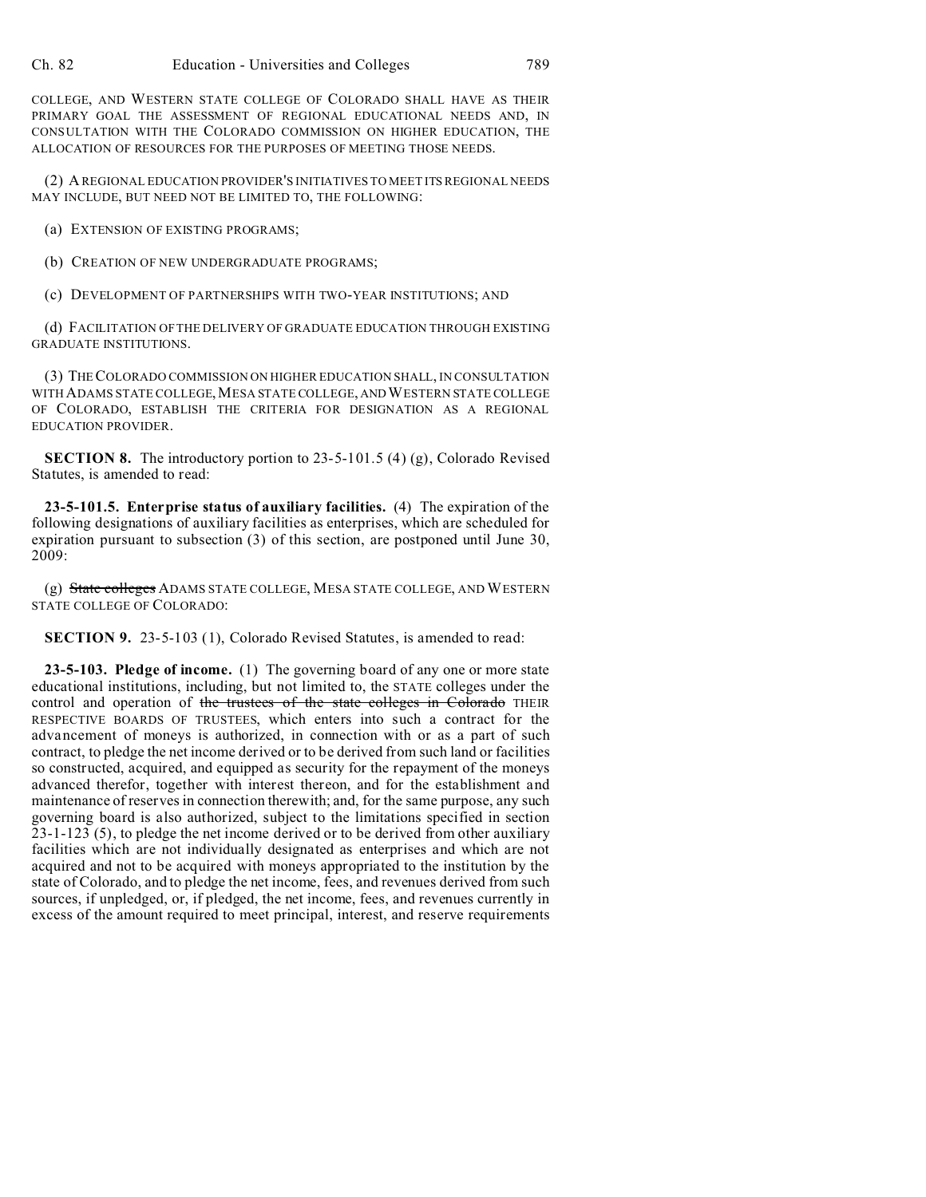COLLEGE, AND WESTERN STATE COLLEGE OF COLORADO SHALL HAVE AS THEIR PRIMARY GOAL THE ASSESSMENT OF REGIONAL EDUCATIONAL NEEDS AND, IN CONSULTATION WITH THE COLORADO COMMISSION ON HIGHER EDUCATION, THE ALLOCATION OF RESOURCES FOR THE PURPOSES OF MEETING THOSE NEEDS.

(2) A REGIONAL EDUCATION PROVIDER'S INITIATIVES TO MEET ITS REGIONAL NEEDS MAY INCLUDE, BUT NEED NOT BE LIMITED TO, THE FOLLOWING:

(a) EXTENSION OF EXISTING PROGRAMS;

(b) CREATION OF NEW UNDERGRADUATE PROGRAMS;

(c) DEVELOPMENT OF PARTNERSHIPS WITH TWO-YEAR INSTITUTIONS; AND

(d) FACILITATION OF THE DELIVERY OF GRADUATE EDUCATION THROUGH EXISTING GRADUATE INSTITUTIONS.

(3) THE COLORADO COMMISSION ON HIGHER EDUCATION SHALL, IN CONSULTATION WITH ADAMS STATE COLLEGE,MESA STATE COLLEGE, ANDWESTERN STATE COLLEGE OF COLORADO, ESTABLISH THE CRITERIA FOR DESIGNATION AS A REGIONAL EDUCATION PROVIDER.

**SECTION 8.** The introductory portion to 23-5-101.5 (4) (g), Colorado Revised Statutes, is amended to read:

**23-5-101.5. Enterprise status of auxiliary facilities.** (4) The expiration of the following designations of auxiliary facilities as enterprises, which are scheduled for expiration pursuant to subsection (3) of this section, are postponed until June 30, 2009:

(g) State colleges ADAMS STATE COLLEGE, MESA STATE COLLEGE, AND WESTERN STATE COLLEGE OF COLORADO:

**SECTION 9.** 23-5-103 (1), Colorado Revised Statutes, is amended to read:

**23-5-103. Pledge of income.** (1) The governing board of any one or more state educational institutions, including, but not limited to, the STATE colleges under the control and operation of the trustees of the state colleges in Colorado THEIR RESPECTIVE BOARDS OF TRUSTEES, which enters into such a contract for the advancement of moneys is authorized, in connection with or as a part of such contract, to pledge the net income derived or to be derived from such land or facilities so constructed, acquired, and equipped as security for the repayment of the moneys advanced therefor, together with interest thereon, and for the establishment and maintenance of reserves in connection therewith; and, for the same purpose, any such governing board is also authorized, subject to the limitations specified in section 23-1-123 (5), to pledge the net income derived or to be derived from other auxiliary facilities which are not individually designated as enterprises and which are not acquired and not to be acquired with moneys appropriated to the institution by the state of Colorado, and to pledge the net income, fees, and revenues derived from such sources, if unpledged, or, if pledged, the net income, fees, and revenues currently in excess of the amount required to meet principal, interest, and reserve requirements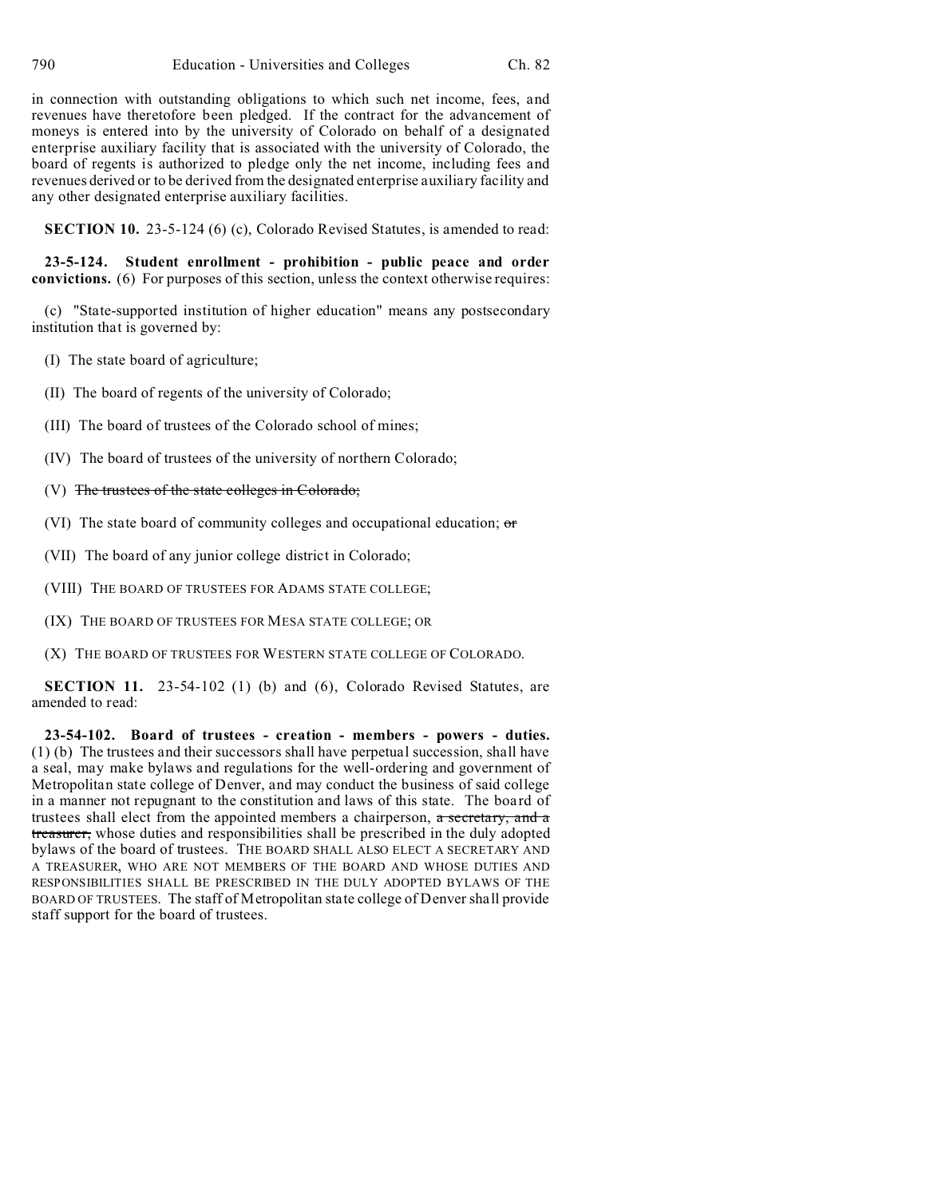in connection with outstanding obligations to which such net income, fees, and revenues have theretofore been pledged. If the contract for the advancement of moneys is entered into by the university of Colorado on behalf of a designated enterprise auxiliary facility that is associated with the university of Colorado, the board of regents is authorized to pledge only the net income, including fees and revenues derived or to be derived from the designated enterprise auxiliary facility and any other designated enterprise auxiliary facilities.

**SECTION 10.** 23-5-124 (6) (c), Colorado Revised Statutes, is amended to read:

**23-5-124. Student enrollment - prohibition - public peace and order convictions.** (6) For purposes of this section, unless the context otherwise requires:

(c) "State-supported institution of higher education" means any postsecondary institution that is governed by:

(I) The state board of agriculture;

(II) The board of regents of the university of Colorado;

(III) The board of trustees of the Colorado school of mines;

(IV) The board of trustees of the university of northern Colorado;

(V) The trustees of the state colleges in Colorado;

(VI) The state board of community colleges and occupational education; or

(VII) The board of any junior college district in Colorado;

(VIII) THE BOARD OF TRUSTEES FOR ADAMS STATE COLLEGE;

(IX) THE BOARD OF TRUSTEES FOR MESA STATE COLLEGE; OR

(X) THE BOARD OF TRUSTEES FOR WESTERN STATE COLLEGE OF COLORADO.

**SECTION 11.** 23-54-102 (1) (b) and (6), Colorado Revised Statutes, are amended to read:

**23-54-102. Board of trustees - creation - members - powers - duties.** (1) (b) The trustees and their successors shall have perpetual succession, shall have a seal, may make bylaws and regulations for the well-ordering and government of Metropolitan state college of Denver, and may conduct the business of said college in a manner not repugnant to the constitution and laws of this state. The board of trustees shall elect from the appointed members a chairperson, a secretary, and a treasurer, whose duties and responsibilities shall be prescribed in the duly adopted bylaws of the board of trustees. THE BOARD SHALL ALSO ELECT A SECRETARY AND A TREASURER, WHO ARE NOT MEMBERS OF THE BOARD AND WHOSE DUTIES AND RESPONSIBILITIES SHALL BE PRESCRIBED IN THE DULY ADOPTED BYLAWS OF THE BOARD OF TRUSTEES. The staff of Metropolitan state college of Denver shall provide staff support for the board of trustees.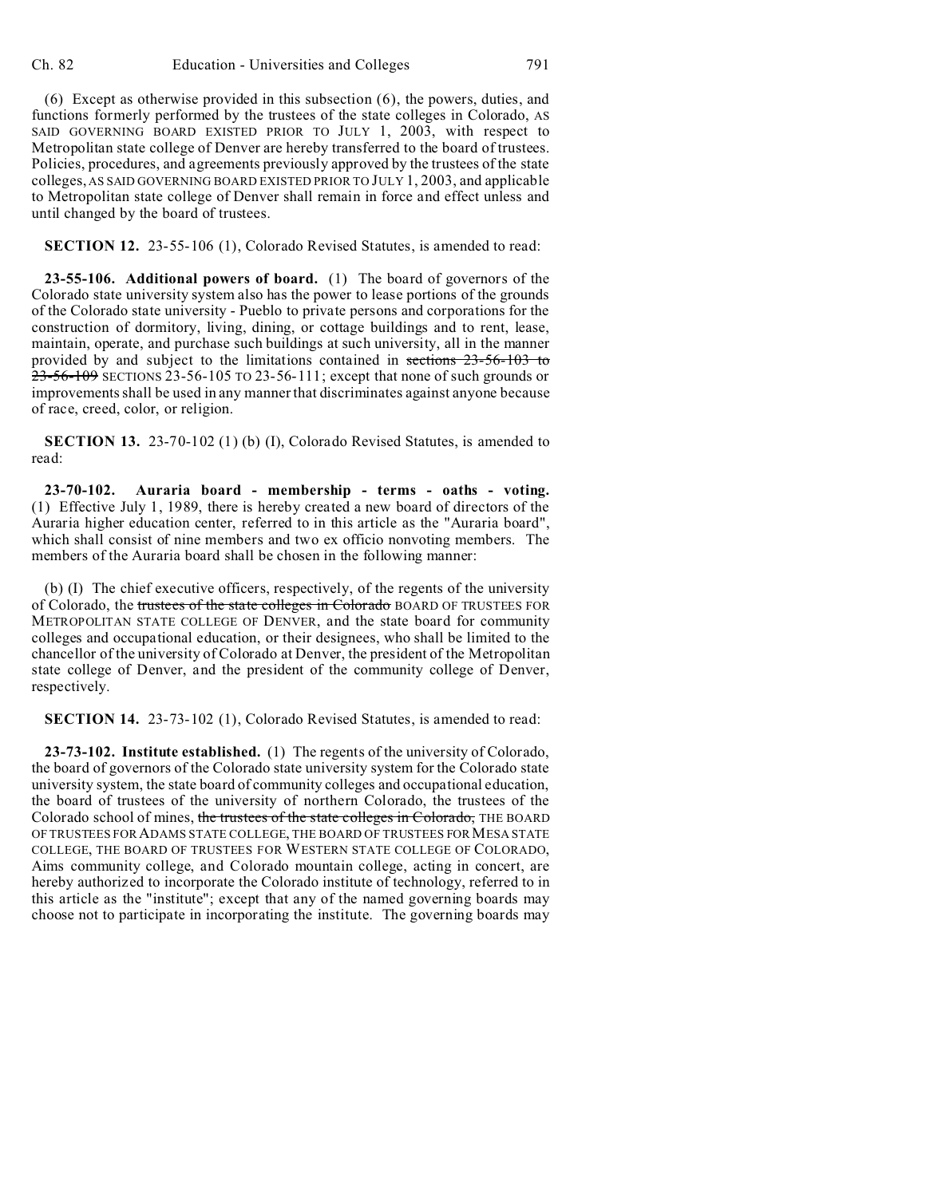**SECTION 12.** 23-55-106 (1), Colorado Revised Statutes, is amended to read:

**23-55-106. Additional powers of board.** (1) The board of governors of the Colorado state university system also has the power to lease portions of the grounds of the Colorado state university - Pueblo to private persons and corporations for the construction of dormitory, living, dining, or cottage buildings and to rent, lease, maintain, operate, and purchase such buildings at such university, all in the manner provided by and subject to the limitations contained in sections 23-56-103 to 23-56-109 SECTIONS 23-56-105 TO 23-56-111; except that none of such grounds or improvements shall be used in any manner that discriminates against anyone because of race, creed, color, or religion.

**SECTION 13.** 23-70-102 (1) (b) (I), Colorado Revised Statutes, is amended to read:

**23-70-102. Auraria board - membership - terms - oaths - voting.** (1) Effective July 1, 1989, there is hereby created a new board of directors of the Auraria higher education center, referred to in this article as the "Auraria board", which shall consist of nine members and two ex officio nonvoting members. The members of the Auraria board shall be chosen in the following manner:

(b) (I) The chief executive officers, respectively, of the regents of the university of Colorado, the trustees of the state colleges in Colorado BOARD OF TRUSTEES FOR METROPOLITAN STATE COLLEGE OF DENVER, and the state board for community colleges and occupational education, or their designees, who shall be limited to the chancellor of the university of Colorado at Denver, the president of the Metropolitan state college of Denver, and the president of the community college of Denver, respectively.

**SECTION 14.** 23-73-102 (1), Colorado Revised Statutes, is amended to read:

**23-73-102. Institute established.** (1) The regents of the university of Colorado, the board of governors of the Colorado state university system for the Colorado state university system, the state board of community colleges and occupational education, the board of trustees of the university of northern Colorado, the trustees of the Colorado school of mines, the trustees of the state colleges in Colorado, THE BOARD OF TRUSTEES FORADAMS STATE COLLEGE, THE BOARD OF TRUSTEES FORMESA STATE COLLEGE, THE BOARD OF TRUSTEES FOR WESTERN STATE COLLEGE OF COLORADO, Aims community college, and Colorado mountain college, acting in concert, are hereby authorized to incorporate the Colorado institute of technology, referred to in this article as the "institute"; except that any of the named governing boards may choose not to participate in incorporating the institute. The governing boards may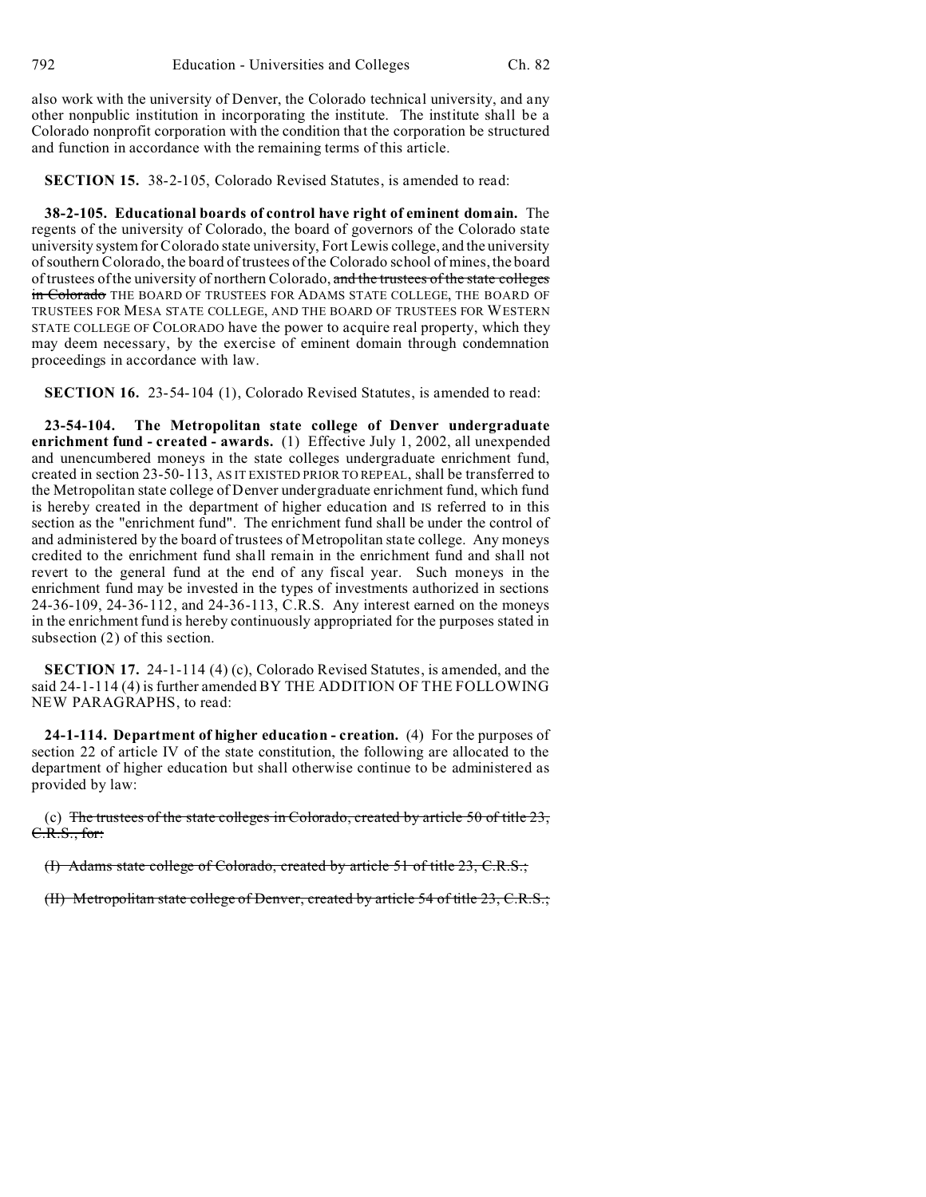also work with the university of Denver, the Colorado technical university, and any other nonpublic institution in incorporating the institute. The institute shall be a Colorado nonprofit corporation with the condition that the corporation be structured and function in accordance with the remaining terms of this article.

**SECTION 15.** 38-2-105, Colorado Revised Statutes, is amended to read:

**38-2-105. Educational boards of control have right of eminent domain.** The regents of the university of Colorado, the board of governors of the Colorado state university system for Colorado state university, Fort Lewis college, and the university of southern Colorado, the board of trustees of the Colorado school of mines, the board of trustees of the university of northern Colorado, and the trustees of the state colleges in Colorado THE BOARD OF TRUSTEES FOR ADAMS STATE COLLEGE, THE BOARD OF TRUSTEES FOR MESA STATE COLLEGE, AND THE BOARD OF TRUSTEES FOR WESTERN STATE COLLEGE OF COLORADO have the power to acquire real property, which they may deem necessary, by the exercise of eminent domain through condemnation proceedings in accordance with law.

**SECTION 16.** 23-54-104 (1), Colorado Revised Statutes, is amended to read:

**23-54-104. The Metropolitan state college of Denver undergraduate enrichment fund - created - awards.** (1) Effective July 1, 2002, all unexpended and unencumbered moneys in the state colleges undergraduate enrichment fund, created in section 23-50-113, AS IT EXISTED PRIOR TO REPEAL, shall be transferred to the Metropolitan state college of Denver undergraduate enrichment fund, which fund is hereby created in the department of higher education and IS referred to in this section as the "enrichment fund". The enrichment fund shall be under the control of and administered by the board of trustees of Metropolitan state college. Any moneys credited to the enrichment fund shall remain in the enrichment fund and shall not revert to the general fund at the end of any fiscal year. Such moneys in the enrichment fund may be invested in the types of investments authorized in sections 24-36-109, 24-36-112, and 24-36-113, C.R.S. Any interest earned on the moneys in the enrichment fund is hereby continuously appropriated for the purposes stated in subsection (2) of this section.

**SECTION 17.** 24-1-114 (4) (c), Colorado Revised Statutes, is amended, and the said 24-1-114 (4) is further amended BY THE ADDITION OF THE FOLLOWING NEW PARAGRAPHS, to read:

**24-1-114. Department of higher education - creation.** (4) For the purposes of section 22 of article IV of the state constitution, the following are allocated to the department of higher education but shall otherwise continue to be administered as provided by law:

(c) The trustees of the state colleges in Colorado, created by article 50 of title  $23$ , C.R.S., for:

(I) Adams state college of Colorado, created by article 51 of title 23, C.R.S.;

(II) Metropolitan state college of Denver, created by article 54 of title 23, C.R.S.;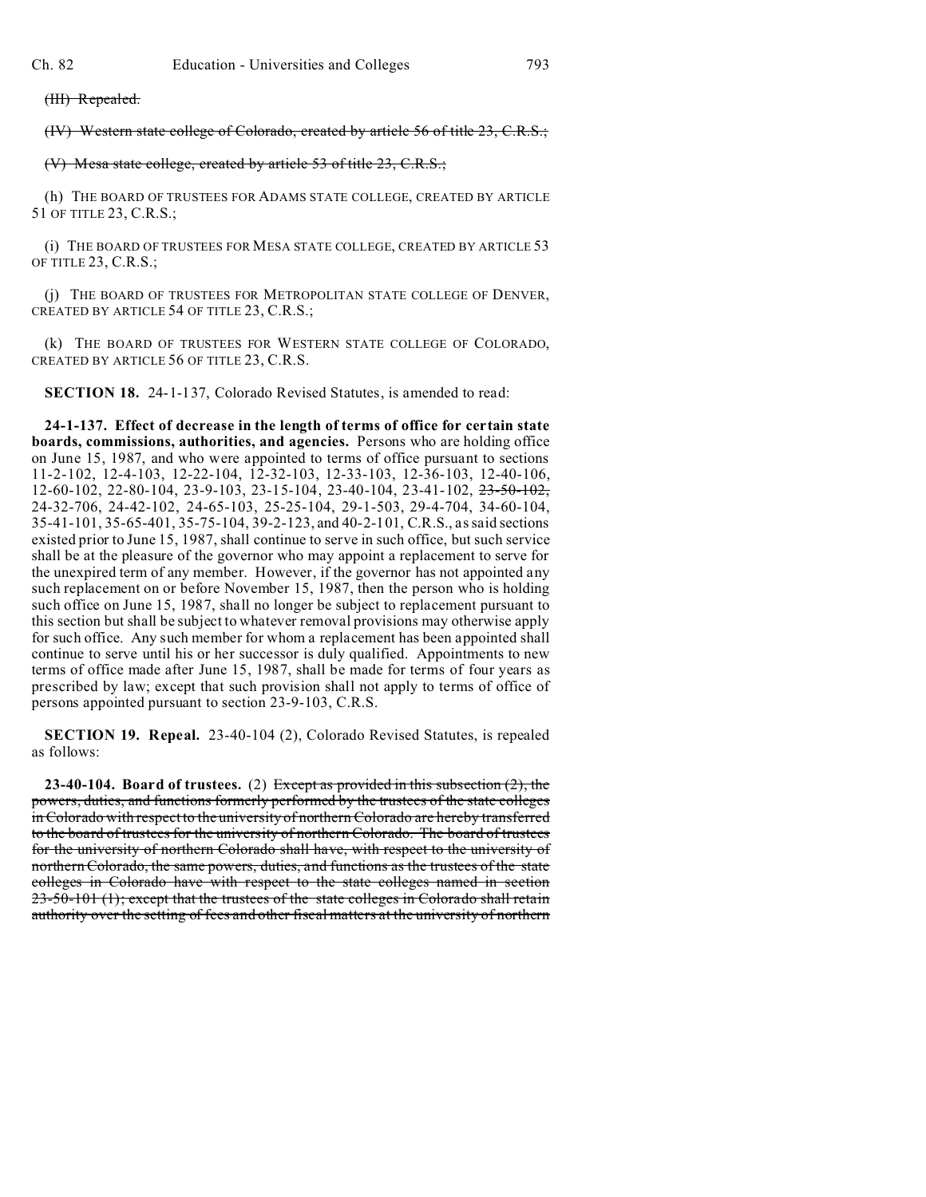(III) Repealed.

(IV) Western state college of Colorado, created by article 56 of title 23, C.R.S.;

#### (V) Mesa state college, created by article 53 of title 23, C.R.S.;

(h) THE BOARD OF TRUSTEES FOR ADAMS STATE COLLEGE, CREATED BY ARTICLE 51 OF TITLE 23, C.R.S.;

(i) THE BOARD OF TRUSTEES FOR MESA STATE COLLEGE, CREATED BY ARTICLE 53 OF TITLE 23, C.R.S.;

(j) THE BOARD OF TRUSTEES FOR METROPOLITAN STATE COLLEGE OF DENVER, CREATED BY ARTICLE 54 OF TITLE 23, C.R.S.;

(k) THE BOARD OF TRUSTEES FOR WESTERN STATE COLLEGE OF COLORADO, CREATED BY ARTICLE 56 OF TITLE 23, C.R.S.

**SECTION 18.** 24-1-137, Colorado Revised Statutes, is amended to read:

**24-1-137. Effect of decrease in the length of terms of office for certain state boards, commissions, authorities, and agencies.** Persons who are holding office on June 15, 1987, and who were appointed to terms of office pursuant to sections 11-2-102, 12-4-103, 12-22-104, 12-32-103, 12-33-103, 12-36-103, 12-40-106, 12-60-102, 22-80-104, 23-9-103, 23-15-104, 23-40-104, 23-41-102, 23-50-102, 24-32-706, 24-42-102, 24-65-103, 25-25-104, 29-1-503, 29-4-704, 34-60-104, 35-41-101, 35-65-401, 35-75-104, 39-2-123, and 40-2-101, C.R.S., as said sections existed prior to June 15, 1987, shall continue to serve in such office, but such service shall be at the pleasure of the governor who may appoint a replacement to serve for the unexpired term of any member. However, if the governor has not appointed any such replacement on or before November 15, 1987, then the person who is holding such office on June 15, 1987, shall no longer be subject to replacement pursuant to this section but shall be subject to whatever removal provisions may otherwise apply for such office. Any such member for whom a replacement has been appointed shall continue to serve until his or her successor is duly qualified. Appointments to new terms of office made after June 15, 1987, shall be made for terms of four years as prescribed by law; except that such provision shall not apply to terms of office of persons appointed pursuant to section 23-9-103, C.R.S.

**SECTION 19. Repeal.** 23-40-104 (2), Colorado Revised Statutes, is repealed as follows:

**23-40-104. Board of trustees.** (2) Except as provided in this subsection (2), the powers, duties, and functions formerly performed by the trustees of the state colleges in Colorado with respect to the university of northern Colorado are hereby transferred to the board of trustees for the university of northern Colorado. The board of trustees for the university of northern Colorado shall have, with respect to the university of northern Colorado, the same powers, duties, and functions as the trustees of the state colleges in Colorado have with respect to the state colleges named in section 23-50-101 (1); except that the trustees of the state colleges in Colorado shall retain authority over the setting of fees and other fiscal matters at the university of northern